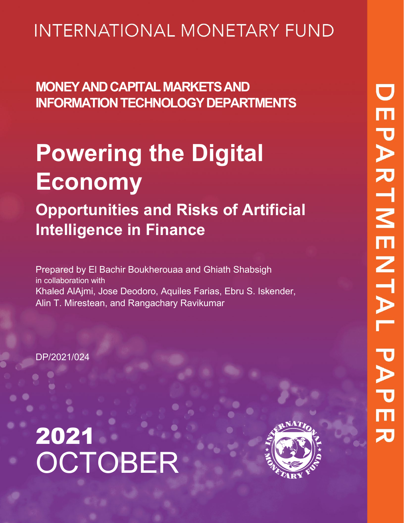# **INTERNATIONAL MONETARY FUND**

**MONEY AND CAPITAL MARKETS AND INFORMATION TECHNOLOGY DEPARTMENTS**

# **Powering the Digital Economy**

**Opportunities and Risks of Artificial Intelligence in Finance**

Prepared by El Bachir Boukherouaa and Ghiath Shabsigh in collaboration with Khaled AlAjmi, Jose Deodoro, Aquiles Farias, Ebru S. Iskender, Alin T. Mirestean, and Rangachary Ravikumar

DP/2021/024



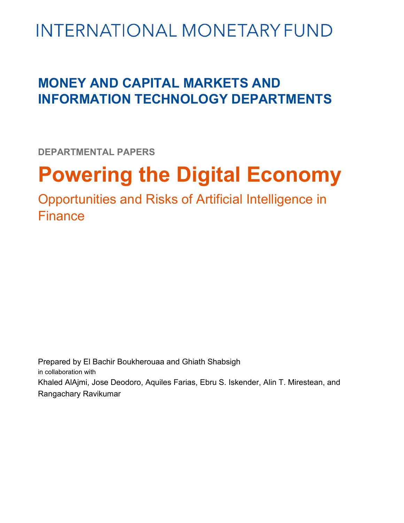# **INTERNATIONAL MONETARY FUND**

# **MONEY AND CAPITAL MARKETS AND INFORMATION TECHNOLOGY DEPARTMENTS**

**DEPARTMENTAL PAPERS**

# **Powering the Digital Economy**

Opportunities and Risks of Artificial Intelligence in Finance

Prepared by El Bachir Boukherouaa and Ghiath Shabsigh in collaboration with Khaled AlAjmi, Jose Deodoro, Aquiles Farias, Ebru S. Iskender, Alin T. Mirestean, and Rangachary Ravikumar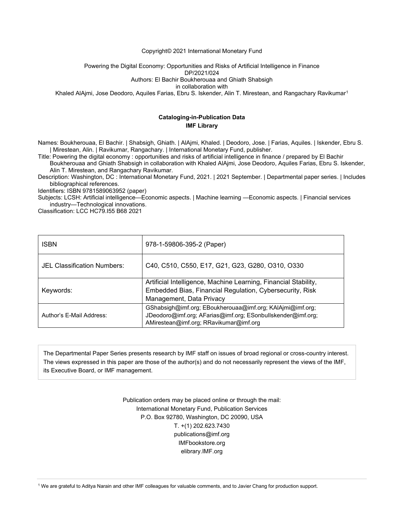#### Copyright© 2021 International Monetary Fund

Powering the Digital Economy: Opportunities and Risks of Artificial Intelligence in Finance

DP/2021/024

Authors: El Bachir Boukherouaa and Ghiath Shabsigh

in collaboration with

Khaled AlAjmi, Jose Deodoro, Aquiles Farias, Ebru S. Iskender, Alin T. Mirestean, and Rangachary Ravikumar<sup>[1](#page-2-0)</sup>

### **Cataloging-in-Publication Data IMF Library**

Names: Boukherouaa, El Bachir. | Shabsigh, Ghiath. | AlAjmi, Khaled. | Deodoro, Jose. | Farias, Aquiles. | Iskender, Ebru S. | Mirestean, Alin. | Ravikumar, Rangachary. | International Monetary Fund, publisher.

Title: Powering the digital economy : opportunities and risks of artificial intelligence in finance / prepared by El Bachir Boukherouaa and Ghiath Shabsigh in collaboration with Khaled AlAjmi, Jose Deodoro, Aquiles Farias, Ebru S. Iskender,

Alin T. Mirestean, and Rangachary Ravikumar.

Description: Washington, DC : International Monetary Fund, 2021. | 2021 September. | Departmental paper series. | Includes bibliographical references.

Identifiers: ISBN 9781589063952 (paper)

Subjects: LCSH: Artificial intelligence—Economic aspects. | Machine learning —Economic aspects. | Financial services industry—Technological innovations.

Classification: LCC HC79.I55 B68 2021

| <b>ISBN</b>                 | 978-1-59806-395-2 (Paper)                                                                                                                                          |  |
|-----------------------------|--------------------------------------------------------------------------------------------------------------------------------------------------------------------|--|
| JEL Classification Numbers: | C40, C510, C550, E17, G21, G23, G280, O310, O330                                                                                                                   |  |
| Keywords:                   | Artificial Intelligence, Machine Learning, Financial Stability,<br>Embedded Bias, Financial Regulation, Cybersecurity, Risk<br>Management, Data Privacy            |  |
| Author's F-Mail Address:    | GShabsigh@imf.org; EBoukherouaa@imf.org; KAIAjmi@imf.org;<br>JDeodoro@imf.org; AFarias@imf.org; ESonbullskender@imf.org;<br>AMirestean@imf.org; RRavikumar@imf.org |  |

The Departmental Paper Series presents research by IMF staff on issues of broad regional or cross-country interest. The views expressed in this paper are those of the author(s) and do not necessarily represent the views of the IMF, its Executive Board, or IMF management.

> Publication orders may be placed online or through the mail: International Monetary Fund, Publication Services P.O. Box 92780, Washington, DC 20090, USA T. +(1) 202.623.7430 publications@imf.org IMFbookstore.org elibrary.IMF.org

<span id="page-2-0"></span><sup>1</sup> We are grateful to Aditya Narain and other IMF colleagues for valuable comments, and to Javier Chang for production support.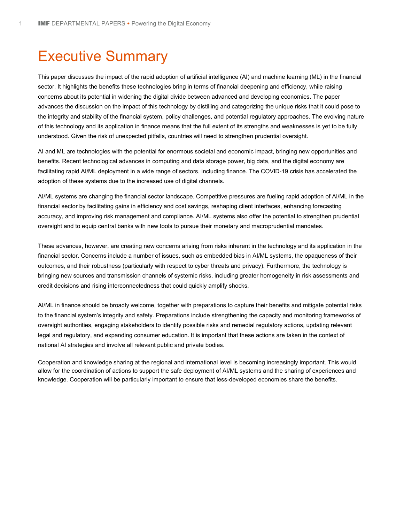# Executive Summary

This paper discusses the impact of the rapid adoption of artificial intelligence (AI) and machine learning (ML) in the financial sector. It highlights the benefits these technologies bring in terms of financial deepening and efficiency, while raising concerns about its potential in widening the digital divide between advanced and developing economies. The paper advances the discussion on the impact of this technology by distilling and categorizing the unique risks that it could pose to the integrity and stability of the financial system, policy challenges, and potential regulatory approaches. The evolving nature of this technology and its application in finance means that the full extent of its strengths and weaknesses is yet to be fully understood. Given the risk of unexpected pitfalls, countries will need to strengthen prudential oversight.

AI and ML are technologies with the potential for enormous societal and economic impact, bringing new opportunities and benefits. Recent technological advances in computing and data storage power, big data, and the digital economy are facilitating rapid AI/ML deployment in a wide range of sectors, including finance. The COVID-19 crisis has accelerated the adoption of these systems due to the increased use of digital channels.

AI/ML systems are changing the financial sector landscape. Competitive pressures are fueling rapid adoption of AI/ML in the financial sector by facilitating gains in efficiency and cost savings, reshaping client interfaces, enhancing forecasting accuracy, and improving risk management and compliance. AI/ML systems also offer the potential to strengthen prudential oversight and to equip central banks with new tools to pursue their monetary and macroprudential mandates.

These advances, however, are creating new concerns arising from risks inherent in the technology and its application in the financial sector. Concerns include a number of issues, such as embedded bias in AI/ML systems, the opaqueness of their outcomes, and their robustness (particularly with respect to cyber threats and privacy). Furthermore, the technology is bringing new sources and transmission channels of systemic risks, including greater homogeneity in risk assessments and credit decisions and rising interconnectedness that could quickly amplify shocks.

AI/ML in finance should be broadly welcome, together with preparations to capture their benefits and mitigate potential risks to the financial system's integrity and safety. Preparations include strengthening the capacity and monitoring frameworks of oversight authorities, engaging stakeholders to identify possible risks and remedial regulatory actions, updating relevant legal and regulatory, and expanding consumer education. It is important that these actions are taken in the context of national AI strategies and involve all relevant public and private bodies.

Cooperation and knowledge sharing at the regional and international level is becoming increasingly important. This would allow for the coordination of actions to support the safe deployment of AI/ML systems and the sharing of experiences and knowledge. Cooperation will be particularly important to ensure that less-developed economies share the benefits.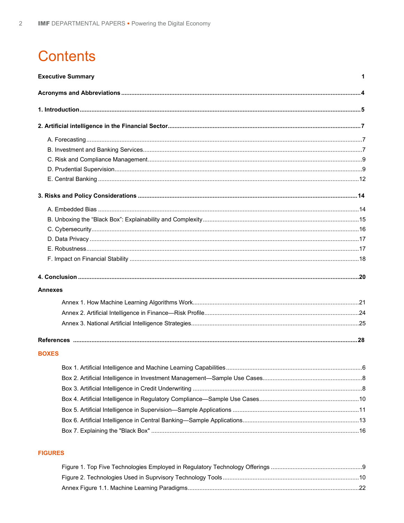# **Contents**

| <b>Executive Summary</b> |  |  |
|--------------------------|--|--|
|                          |  |  |
|                          |  |  |
|                          |  |  |
|                          |  |  |
|                          |  |  |
|                          |  |  |
|                          |  |  |
|                          |  |  |
|                          |  |  |
|                          |  |  |
|                          |  |  |
|                          |  |  |
|                          |  |  |
|                          |  |  |
|                          |  |  |
|                          |  |  |
| <b>Annexes</b>           |  |  |
|                          |  |  |
|                          |  |  |
|                          |  |  |
|                          |  |  |
| <b>BOXES</b>             |  |  |
|                          |  |  |
|                          |  |  |
|                          |  |  |
|                          |  |  |
|                          |  |  |
|                          |  |  |
|                          |  |  |
|                          |  |  |

### **FIGURES**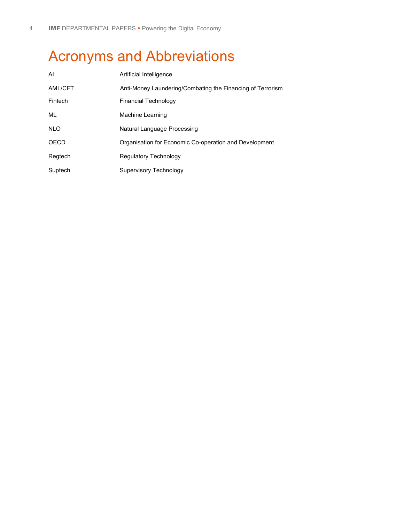# Acronyms and Abbreviations

| AI         | Artificial Intelligence                                    |  |  |
|------------|------------------------------------------------------------|--|--|
| AML/CFT    | Anti-Money Laundering/Combating the Financing of Terrorism |  |  |
| Fintech    | <b>Financial Technology</b>                                |  |  |
| ML         | Machine Learning                                           |  |  |
| <b>NLO</b> | Natural Language Processing                                |  |  |
| OECD       | Organisation for Economic Co-operation and Development     |  |  |
| Regtech    | Regulatory Technology                                      |  |  |
| Suptech    | Supervisory Technology                                     |  |  |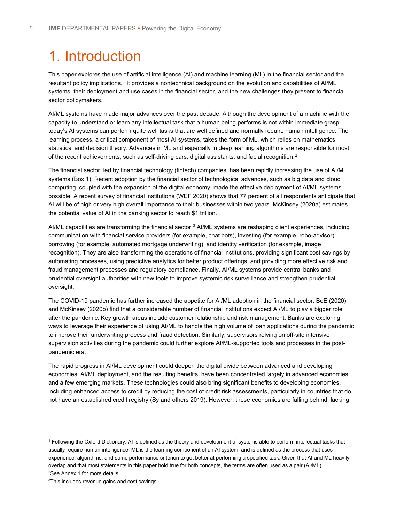# 1. Introduction

This paper explores the use of artificial intelligence (AI) and machine learning (ML) in the financial sector and the resultant policy implications.<sup>[1](#page-7-0)</sup> It provides a nontechnical background on the evolution and capabilities of AI/ML systems, their deployment and use cases in the financial sector, and the new challenges they present to financial sector policymakers.

AI/ML systems have made major advances over the past decade. Although the development of a machine with the capacity to understand or learn any intellectual task that a human being performs is not within immediate grasp, today's AI systems can perform quite well tasks that are well defined and normally require human intelligence. The learning process, a critical component of most AI systems, takes the form of ML, which relies on mathematics, statistics, and decision theory. Advances in ML and especially in deep learning algorithms are responsible for most of the recent achievements, such as self-driving cars, digital assistants, and facial recognition.<sup>[2](#page-7-1)</sup>

The financial sector, led by financial technology (fintech) companies, has been rapidly increasing the use of AI/ML systems (Box 1). Recent adoption by the financial sector of technological advances, such as big data and cloud computing, coupled with the expansion of the digital economy, made the effective deployment of AI/ML systems possible. A recent survey of financial institutions (WEF 2020) shows that 77 percent of all respondents anticipate that AI will be of high or very high overall importance to their businesses within two years. McKinsey (2020a) estimates the potential value of AI in the banking sector to reach \$1 trillion.

AI/ML capabilities are transforming the financial sector.<sup>[3](#page-7-2)</sup> AI/ML systems are reshaping client experiences, including communication with financial service providers (for example, chat bots), investing (for example, robo-advisor), borrowing (for example, automated mortgage underwriting), and identity verification (for example, image recognition). They are also transforming the operations of financial institutions, providing significant cost savings by automating processes, using predictive analytics for better product offerings, and providing more effective risk and fraud management processes and regulatory compliance. Finally, AI/ML systems provide central banks and prudential oversight authorities with new tools to improve systemic risk surveillance and strengthen prudential oversight.

The COVID-19 pandemic has further increased the appetite for AI/ML adoption in the financial sector. BoE (2020) and McKinsey (2020b) find that a considerable number of financial institutions expect AI/ML to play a bigger role after the pandemic. Key growth areas include customer relationship and risk management. Banks are exploring ways to leverage their experience of using AI/ML to handle the high volume of loan applications during the pandemic to improve their underwriting process and fraud detection. Similarly, supervisors relying on off-site intensive supervision activities during the pandemic could further explore AI/ML-supported tools and processes in the postpandemic era.

The rapid progress in AI/ML development could deepen the digital divide between advanced and developing economies. AI/ML deployment, and the resulting benefits, have been concentrated largely in advanced economies and a few emerging markets. These technologies could also bring significant benefits to developing economies, including enhanced access to credit by reducing the cost of credit risk assessments, particularly in countries that do not have an established credit registry (Sy and others 2019). However, these economies are falling behind, lacking

<span id="page-7-0"></span><sup>1</sup> Following the Oxford Dictionary, AI is defined as the theory and development of systems able to perform intellectual tasks that usually require human intelligence. ML is the learning component of an AI system, and is defined as the process that uses experience, algorithms, and some performance criterion to get better at performing a specified task. Given that AI and ML heavily overlap and that most statements in this paper hold true for both concepts, the terms are often used as a pair (AI/ML). 2 See Annex 1 for more details.

<span id="page-7-2"></span><span id="page-7-1"></span>3 This includes revenue gains and cost savings.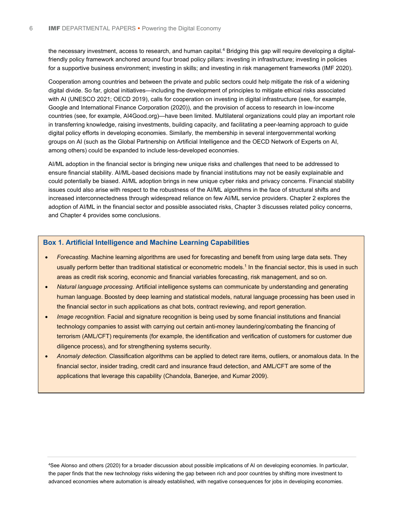the necessary investment, access to research, and human capital.<sup>[4](#page-8-0)</sup> Bridging this gap will require developing a digitalfriendly policy framework anchored around four broad policy pillars: investing in infrastructure; investing in policies for a supportive business environment; investing in skills; and investing in risk management frameworks (IMF 2020).

Cooperation among countries and between the private and public sectors could help mitigate the risk of a widening digital divide. So far, global initiatives—including the development of principles to mitigate ethical risks associated with AI (UNESCO 2021; OECD 2019), calls for cooperation on investing in digital infrastructure (see, for example, Google and International Finance Corporation (2020)), and the provision of access to research in low-income countries (see, for example, AI4Good.org)—have been limited. Multilateral organizations could play an important role in transferring knowledge, raising investments, building capacity, and facilitating a peer-learning approach to guide digital policy efforts in developing economies. Similarly, the membership in several intergovernmental working groups on AI (such as the Global Partnership on Artificial Intelligence and the OECD Network of Experts on AI, among others) could be expanded to include less-developed economies.

AI/ML adoption in the financial sector is bringing new unique risks and challenges that need to be addressed to ensure financial stability. AI/ML-based decisions made by financial institutions may not be easily explainable and could potentially be biased. AI/ML adoption brings in new unique cyber risks and privacy concerns. Financial stability issues could also arise with respect to the robustness of the AI/ML algorithms in the face of structural shifts and increased interconnectedness through widespread reliance on few AI/ML service providers. Chapter 2 explores the adoption of AI/ML in the financial sector and possible associated risks, Chapter 3 discusses related policy concerns, and Chapter 4 provides some conclusions.

#### **Box 1. Artificial Intelligence and Machine Learning Capabilities**

- *Forecasting.* Machine learning algorithms are used for forecasting and benefit from using large data sets. They usually perform better than traditional statistical or econometric models.<sup>1</sup> In the financial sector, this is used in such areas as credit risk scoring, economic and financial variables forecasting, risk management, and so on.
- *Natural language processing.* Artificial intelligence systems can communicate by understanding and generating human language. Boosted by deep learning and statistical models, natural language processing has been used in the financial sector in such applications as chat bots, contract reviewing, and report generation.
- *Image recognition.* Facial and signature recognition is being used by some financial institutions and financial technology companies to assist with carrying out certain anti-money laundering/combating the financing of terrorism (AML/CFT) requirements (for example, the identification and verification of customers for customer due diligence process), and for strengthening systems security.
- *Anomaly detection.* Classification algorithms can be applied to detect rare items, outliers, or anomalous data. In the financial sector, insider trading, credit card and insurance fraud detection, and AML/CFT are some of the applications that leverage this capability (Chandola, Banerjee, and Kumar 2009).

<span id="page-8-0"></span>4 See Alonso and others (2020) for a broader discussion about possible implications of AI on developing economies. In particular, the paper finds that the new technology risks widening the gap between rich and poor countries by shifting more investment to advanced economies where automation is already established, with negative consequences for jobs in developing economies.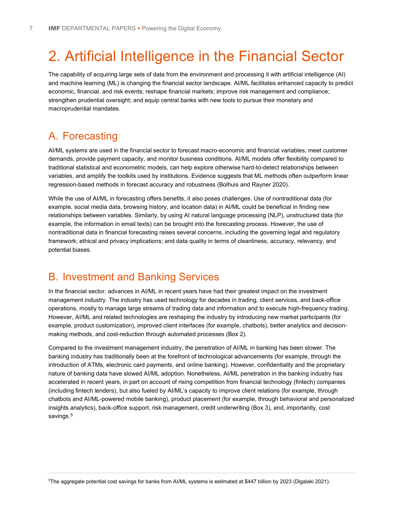# 2. Artificial Intelligence in the Financial Sector

The capability of acquiring large sets of data from the environment and processing it with artificial intelligence (AI) and machine learning (ML) is changing the financial sector landscape. AI/ML facilitates enhanced capacity to predict economic, financial, and risk events; reshape financial markets; improve risk management and compliance; strengthen prudential oversight; and equip central banks with new tools to pursue their monetary and macroprudential mandates.

### A. Forecasting

AI/ML systems are used in the financial sector to forecast macro-economic and financial variables, meet customer demands, provide payment capacity, and monitor business conditions. AI/ML models offer flexibility compared to traditional statistical and econometric models, can help explore otherwise hard-to-detect relationships between variables, and amplify the toolkits used by institutions. Evidence suggests that ML methods often outperform linear regression-based methods in forecast accuracy and robustness (Bolhuis and Rayner 2020).

While the use of AI/ML in forecasting offers benefits, it also poses challenges. Use of nontraditional data (for example, social media data, browsing history, and location data) in AI/ML could be beneficial in finding new relationships between variables. Similarly, by using AI natural language processing (NLP), unstructured data (for example, the information in email texts) can be brought into the forecasting process. However, the use of nontraditional data in financial forecasting raises several concerns, including the governing legal and regulatory framework; ethical and privacy implications; and data quality in terms of cleanliness, accuracy, relevancy, and potential biases.

### B. Investment and Banking Services

In the financial sector, advances in AI/ML in recent years have had their greatest impact on the investment management industry. The industry has used technology for decades in trading, client services, and back-office operations, mostly to manage large streams of trading data and information and to execute high-frequency trading. However, AI/ML and related technologies are reshaping the industry by introducing new market participants (for example, product customization), improved client interfaces (for example, chatbots), better analytics and decisionmaking methods, and cost-reduction through automated processes (Box 2).

Compared to the investment management industry, the penetration of AI/ML in banking has been slower. The banking industry has traditionally been at the forefront of technological advancements (for example, through the introduction of ATMs, electronic card payments, and online banking). However, confidentiality and the proprietary nature of banking data have slowed AI/ML adoption. Nonetheless, AI/ML penetration in the banking industry has accelerated in recent years, in part on account of rising competition from financial technology (fintech) companies (including fintech lenders), but also fueled by AI/ML's capacity to improve client relations (for example, through chatbots and AI/ML-powered mobile banking), product placement (for example, through behavioral and personalized insights analytics), back-office support, risk management, credit underwriting (Box 3), and, importantly, cost savings.<sup>[5](#page-9-0)</sup>

<span id="page-9-0"></span>5 The aggregate potential cost savings for banks from AI/ML systems is estimated at \$447 billion by 2023 (Digalaki 2021).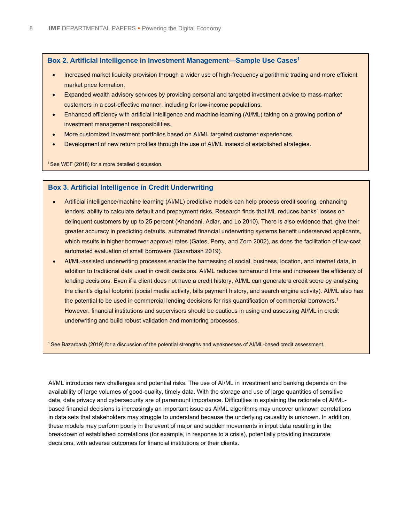### **Box 2. Artificial Intelligence in Investment Management—Sample Use Cases1**

- Increased market liquidity provision through a wider use of high-frequency algorithmic trading and more efficient market price formation.
- Expanded wealth advisory services by providing personal and targeted investment advice to mass-market customers in a cost-effective manner, including for low-income populations.
- Enhanced efficiency with artificial intelligence and machine learning (AI/ML) taking on a growing portion of investment management responsibilities.
- More customized investment portfolios based on AI/ML targeted customer experiences.
- Development of new return profiles through the use of AI/ML instead of established strategies.

<sup>1</sup> See WEF (2018) for a more detailed discussion.

#### **Box 3. Artificial Intelligence in Credit Underwriting**

- Artificial intelligence/machine learning (AI/ML) predictive models can help process credit scoring, enhancing lenders' ability to calculate default and prepayment risks. Research finds that ML reduces banks' losses on delinquent customers by up to 25 percent (Khandani, Adlar, and Lo 2010). There is also evidence that, give their greater accuracy in predicting defaults, automated financial underwriting systems benefit underserved applicants, which results in higher borrower approval rates (Gates, Perry, and Zorn 2002), as does the facilitation of low-cost automated evaluation of small borrowers (Bazarbash 2019).
- AI/ML-assisted underwriting processes enable the harnessing of social, business, location, and internet data, in addition to traditional data used in credit decisions. AI/ML reduces turnaround time and increases the efficiency of lending decisions. Even if a client does not have a credit history, AI/ML can generate a credit score by analyzing the client's digital footprint (social media activity, bills payment history, and search engine activity). AI/ML also has the potential to be used in commercial lending decisions for risk quantification of commercial borrowers.<sup>1</sup> However, financial institutions and supervisors should be cautious in using and assessing AI/ML in credit underwriting and build robust validation and monitoring processes.

1 See Bazarbash (2019) for a discussion of the potential strengths and weaknesses of AI/ML-based credit assessment.

AI/ML introduces new challenges and potential risks. The use of AI/ML in investment and banking depends on the availability of large volumes of good-quality, timely data. With the storage and use of large quantities of sensitive data, data privacy and cybersecurity are of paramount importance. Difficulties in explaining the rationale of AI/MLbased financial decisions is increasingly an important issue as AI/ML algorithms may uncover unknown correlations in data sets that stakeholders may struggle to understand because the underlying causality is unknown. In addition, these models may perform poorly in the event of major and sudden movements in input data resulting in the breakdown of established correlations (for example, in response to a crisis), potentially providing inaccurate decisions, with adverse outcomes for financial institutions or their clients.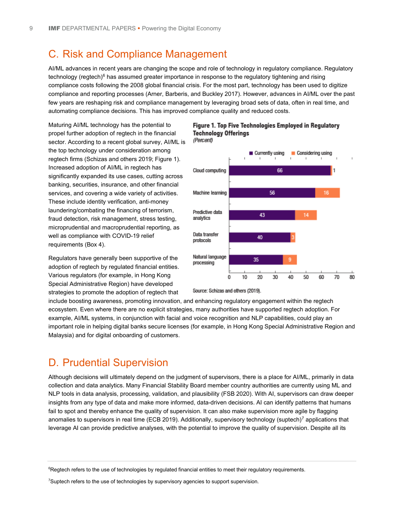### C. Risk and Compliance Management

AI/ML advances in recent years are changing the scope and role of technology in regulatory compliance. Regulatory technology (regtech)<sup>[6](#page-11-0)</sup> has assumed greater importance in response to the regulatory tightening and rising compliance costs following the 2008 global financial crisis. For the most part, technology has been used to digitize compliance and reporting processes (Arner, Barberis, and Buckley 2017). However, advances in AI/ML over the past few years are reshaping risk and compliance management by leveraging broad sets of data, often in real time, and automating compliance decisions. This has improved compliance quality and reduced costs.

Maturing AI/ML technology has the potential to propel further adoption of regtech in the financial sector. According to a recent global survey, AI/ML is the top technology under consideration among regtech firms (Schizas and others 2019; Figure 1). Increased adoption of AI/ML in regtech has significantly expanded its use cases, cutting across banking, securities, insurance, and other financial services, and covering a wide variety of activities. These include identity verification, anti-money laundering/combating the financing of terrorism, fraud detection, risk management, stress testing, microprudential and macroprudential reporting, as well as compliance with COVID-19 relief requirements (Box 4).

Regulators have generally been supportive of the adoption of regtech by regulated financial entities. Various regulators (for example, in Hong Kong Special Administrative Region) have developed strategies to promote the adoption of regtech that



#### Figure 1. Top Five Technologies Employed in Regulatory **Technology Offerings** (Percent)

Source: Schizas and others (2019).

include boosting awareness, promoting innovation, and enhancing regulatory engagement within the regtech ecosystem. Even where there are no explicit strategies, many authorities have supported regtech adoption. For example, AI/ML systems, in conjunction with facial and voice recognition and NLP capabilities, could play an important role in helping digital banks secure licenses (for example, in Hong Kong Special Administrative Region and Malaysia) and for digital onboarding of customers.

### D. Prudential Supervision

Although decisions will ultimately depend on the judgment of supervisors, there is a place for AI/ML, primarily in data collection and data analytics. Many Financial Stability Board member country authorities are currently using ML and NLP tools in data analysis, processing, validation, and plausibility (FSB 2020). With AI, supervisors can draw deeper insights from any type of data and make more informed, data-driven decisions. AI can identify patterns that humans fail to spot and thereby enhance the quality of supervision. It can also make supervision more agile by flagging anomalies to supervisors in real time (ECB 2019). Additionally, supervisory technology (suptech)<sup>[7](#page-11-1)</sup> applications that leverage AI can provide predictive analyses, with the potential to improve the quality of supervision. Despite all its

<span id="page-11-0"></span><sup>&</sup>lt;sup>6</sup>Regtech refers to the use of technologies by regulated financial entities to meet their regulatory requirements.

<span id="page-11-1"></span><sup>&</sup>lt;sup>7</sup>Suptech refers to the use of technologies by supervisory agencies to support supervision.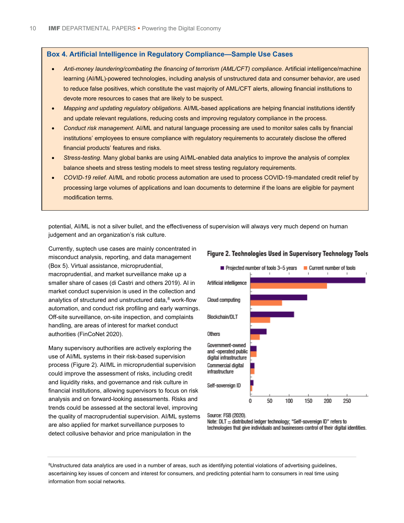#### **Box 4. Artificial Intelligence in Regulatory Compliance—Sample Use Cases**

- *Anti-money laundering/combating the financing of terrorism (AML/CFT) compliance.* Artificial intelligence/machine learning (AI/ML)-powered technologies, including analysis of unstructured data and consumer behavior, are used to reduce false positives, which constitute the vast majority of AML/CFT alerts, allowing financial institutions to devote more resources to cases that are likely to be suspect.
- *Mapping and updating regulatory obligations.* AI/ML-based applications are helping financial institutions identify and update relevant regulations, reducing costs and improving regulatory compliance in the process.
- *Conduct risk management.* AI/ML and natural language processing are used to monitor sales calls by financial institutions' employees to ensure compliance with regulatory requirements to accurately disclose the offered financial products' features and risks.
- *Stress-testing.* Many global banks are using AI/ML-enabled data analytics to improve the analysis of complex balance sheets and stress testing models to meet stress testing regulatory requirements.
- *COVID-19 relief.* AI/ML and robotic process automation are used to process COVID-19-mandated credit relief by processing large volumes of applications and loan documents to determine if the loans are eligible for payment modification terms.

potential, AI/ML is not a silver bullet, and the effectiveness of supervision will always very much depend on human judgement and an organization's risk culture.

Currently, suptech use cases are mainly concentrated in misconduct analysis, reporting, and data management (Box 5). Virtual assistance, microprudential, macroprudential, and market surveillance make up a smaller share of cases (di Castri and others 2019). AI in market conduct supervision is used in the collection and analytics of structured and unstructured data.<sup>[8](#page-12-0)</sup> work-flow automation, and conduct risk profiling and early warnings. Off-site surveillance, on-site inspection, and complaints handling, are areas of interest for market conduct authorities (FinCoNet 2020).

Many supervisory authorities are actively exploring the use of AI/ML systems in their risk-based supervision process (Figure 2). AI/ML in microprudential supervision could improve the assessment of risks, including credit and liquidity risks, and governance and risk culture in financial institutions, allowing supervisors to focus on risk analysis and on forward-looking assessments. Risks and trends could be assessed at the sectoral level, improving the quality of macroprudential supervision. AI/ML systems are also applied for market surveillance purposes to detect collusive behavior and price manipulation in the



### Figure 2. Technologies Used in Supervisory Technology Tools

Source: FSB (2020).

Note: DLT = distributed ledger technology; "Self-sovereign ID" refers to technologies that give individuals and businesses control of their digital identities.

<span id="page-12-0"></span>8 Unstructured data analytics are used in a number of areas, such as identifying potential violations of advertising guidelines, ascertaining key issues of concern and interest for consumers, and predicting potential harm to consumers in real time using information from social networks.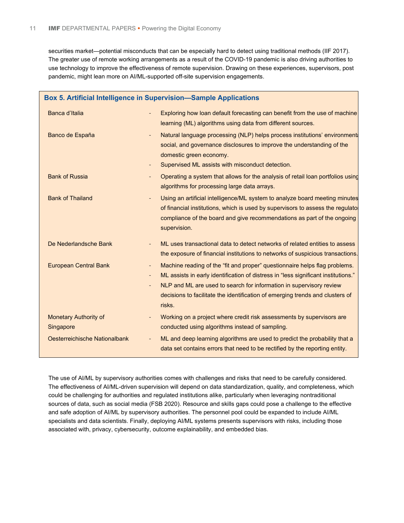securities market—potential misconducts that can be especially hard to detect using traditional methods (IIF 2017). The greater use of remote working arrangements as a result of the COVID-19 pandemic is also driving authorities to use technology to improve the effectiveness of remote supervision. Drawing on these experiences, supervisors, post pandemic, might lean more on AI/ML-supported off-site supervision engagements.

| Box 5. Artificial Intelligence in Supervision-Sample Applications |                                                                                                                                                                                                                                                                                                                                                                                                                        |  |  |
|-------------------------------------------------------------------|------------------------------------------------------------------------------------------------------------------------------------------------------------------------------------------------------------------------------------------------------------------------------------------------------------------------------------------------------------------------------------------------------------------------|--|--|
| Banca d'Italia                                                    | Exploring how loan default forecasting can benefit from the use of machine<br>learning (ML) algorithms using data from different sources.                                                                                                                                                                                                                                                                              |  |  |
| Banco de España                                                   | Natural language processing (NLP) helps process institutions' environment<br>social, and governance disclosures to improve the understanding of the<br>domestic green economy.<br>Supervised ML assists with misconduct detection.<br>$\blacksquare$                                                                                                                                                                   |  |  |
| <b>Bank of Russia</b>                                             | Operating a system that allows for the analysis of retail loan portfolios using<br>algorithms for processing large data arrays.                                                                                                                                                                                                                                                                                        |  |  |
| <b>Bank of Thailand</b>                                           | Using an artificial intelligence/ML system to analyze board meeting minutes<br>of financial institutions, which is used by supervisors to assess the regulato<br>compliance of the board and give recommendations as part of the ongoing<br>supervision.                                                                                                                                                               |  |  |
| De Nederlandsche Bank                                             | ML uses transactional data to detect networks of related entities to assess<br>the exposure of financial institutions to networks of suspicious transactions.                                                                                                                                                                                                                                                          |  |  |
| <b>European Central Bank</b>                                      | Machine reading of the "fit and proper" questionnaire helps flag problems.<br>$\overline{\phantom{a}}$<br>ML assists in early identification of distress in "less significant institutions."<br>$\overline{\phantom{a}}$<br>NLP and ML are used to search for information in supervisory review<br>$\overline{\phantom{a}}$<br>decisions to facilitate the identification of emerging trends and clusters of<br>risks. |  |  |
| <b>Monetary Authority of</b><br>Singapore                         | Working on a project where credit risk assessments by supervisors are<br>conducted using algorithms instead of sampling.                                                                                                                                                                                                                                                                                               |  |  |
| Oesterreichische Nationalbank                                     | ML and deep learning algorithms are used to predict the probability that a<br>data set contains errors that need to be rectified by the reporting entity.                                                                                                                                                                                                                                                              |  |  |

The use of AI/ML by supervisory authorities comes with challenges and risks that need to be carefully considered. The effectiveness of AI/ML-driven supervision will depend on data standardization, quality, and completeness, which could be challenging for authorities and regulated institutions alike, particularly when leveraging nontraditional sources of data, such as social media (FSB 2020). Resource and skills gaps could pose a challenge to the effective and safe adoption of AI/ML by supervisory authorities. The personnel pool could be expanded to include AI/ML specialists and data scientists. Finally, deploying AI/ML systems presents supervisors with risks, including those associated with, privacy, cybersecurity, outcome explainability, and embedded bias.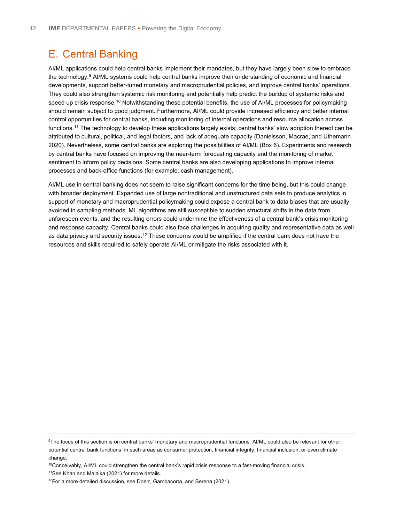### E. Central Banking

AI/ML applications could help central banks implement their mandates, but they have largely been slow to embrace the technology.<sup>[9](#page-14-0)</sup> AI/ML systems could help central banks improve their understanding of economic and financial developments, support better-tuned monetary and macroprudential policies, and improve central banks' operations. They could also strengthen systemic risk monitoring and potentially help predict the buildup of systemic risks and speed up crisis response.<sup>[10](#page-14-1)</sup> Notwithstanding these potential benefits, the use of AI/ML processes for policymaking should remain subject to good judgment. Furthermore, AI/ML could provide increased efficiency and better internal control opportunities for central banks, including monitoring of internal operations and resource allocation across functions.<sup>11</sup> The technology to develop these applications largely exists; central banks' slow adoption thereof can be attributed to cultural, political, and legal factors, and lack of adequate capacity (Danielsson, Macrae, and Uthemann 2020). Nevertheless, some central banks are exploring the possibilities of AI/ML (Box 6). Experiments and research by central banks have focused on improving the near-term forecasting capacity and the monitoring of market sentiment to inform policy decisions. Some central banks are also developing applications to improve internal processes and back-office functions (for example, cash management).

AI/ML use in central banking does not seem to raise significant concerns for the time being, but this could change with broader deployment. Expanded use of large nontraditional and unstructured data sets to produce analytics in support of monetary and macroprudential policymaking could expose a central bank to data biases that are usually avoided in sampling methods. ML algorithms are still susceptible to sudden structural shifts in the data from unforeseen events, and the resulting errors could undermine the effectiveness of a central bank's crisis monitoring and response capacity. Central banks could also face challenges in acquiring quality and representative data as well as data privacy and security issues.<sup>[12](#page-14-3)</sup> These concerns would be amplified if the central bank does not have the resources and skills required to safely operate AI/ML or mitigate the risks associated with it.

<span id="page-14-0"></span><sup>9</sup> The focus of this section is on central banks' monetary and macroprudential functions. AI/ML could also be relevant for other, potential central bank functions, in such areas as consumer protection, financial integrity, financial inclusion, or even climate change.

<span id="page-14-1"></span> $10$ Conceivably, AI/ML could strengthen the central bank's rapid crisis response to a fast-moving financial crisis.

<span id="page-14-2"></span><sup>&</sup>lt;sup>11</sup>See Khan and Malaika (2021) for more details.

<span id="page-14-3"></span> $12$ For a more detailed discussion, see Doerr, Gambacorta, and Serena (2021).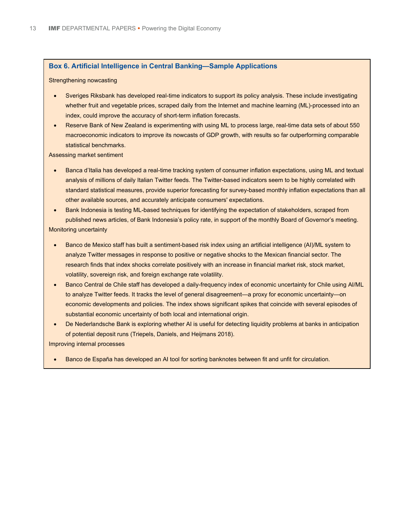#### **Box 6. Artificial Intelligence in Central Banking—Sample Applications**

#### Strengthening nowcasting

- Sveriges Riksbank has developed real-time indicators to support its policy analysis. These include investigating whether fruit and vegetable prices, scraped daily from the Internet and machine learning (ML)-processed into an index, could improve the accuracy of short-term inflation forecasts.
- Reserve Bank of New Zealand is experimenting with using ML to process large, real-time data sets of about 550 macroeconomic indicators to improve its nowcasts of GDP growth, with results so far outperforming comparable statistical benchmarks.

Assessing market sentiment

- Banca d'Italia has developed a real-time tracking system of consumer inflation expectations, using ML and textual analysis of millions of daily Italian Twitter feeds. The Twitter-based indicators seem to be highly correlated with standard statistical measures, provide superior forecasting for survey-based monthly inflation expectations than all other available sources, and accurately anticipate consumers' expectations.
- Bank Indonesia is testing ML-based techniques for identifying the expectation of stakeholders, scraped from published news articles, of Bank Indonesia's policy rate, in support of the monthly Board of Governor's meeting. Monitoring uncertainty
- - Banco de Mexico staff has built a sentiment-based risk index using an artificial intelligence (AI)/ML system to analyze Twitter messages in response to positive or negative shocks to the Mexican financial sector. The research finds that index shocks correlate positively with an increase in financial market risk, stock market, volatility, sovereign risk, and foreign exchange rate volatility.
	- Banco Central de Chile staff has developed a daily-frequency index of economic uncertainty for Chile using AI/ML to analyze Twitter feeds. It tracks the level of general disagreement—a proxy for economic uncertainty—on economic developments and policies. The index shows significant spikes that coincide with several episodes of substantial economic uncertainty of both local and international origin.
	- De Nederlandsche Bank is exploring whether AI is useful for detecting liquidity problems at banks in anticipation of potential deposit runs (Triepels, Daniels, and Heijmans 2018).

Improving internal processes

• Banco de España has developed an AI tool for sorting banknotes between fit and unfit for circulation.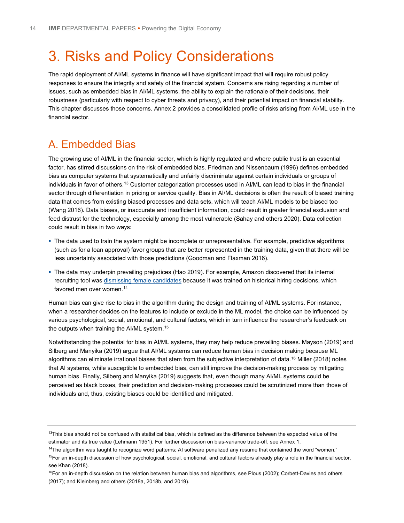# 3. Risks and Policy Considerations

The rapid deployment of AI/ML systems in finance will have significant impact that will require robust policy responses to ensure the integrity and safety of the financial system. Concerns are rising regarding a number of issues, such as embedded bias in AI/ML systems, the ability to explain the rationale of their decisions, their robustness (particularly with respect to cyber threats and privacy), and their potential impact on financial stability. This chapter discusses those concerns. Annex 2 provides a consolidated profile of risks arising from Al/ML use in the financial sector.

### A. Embedded Bias

The growing use of AI/ML in the financial sector, which is highly regulated and where public trust is an essential factor, has stirred discussions on the risk of embedded bias. Friedman and Nissenbaum (1996) defines embedded bias as computer systems that systematically and unfairly discriminate against certain individuals or groups of individuals in favor of others.<sup>[13](#page-16-0)</sup> Customer categorization processes used in AI/ML can lead to bias in the financial sector through differentiation in pricing or service quality. Bias in AI/ML decisions is often the result of biased training data that comes from existing biased processes and data sets, which will teach AI/ML models to be biased too (Wang 2016). Data biases, or inaccurate and insufficient information, could result in greater financial exclusion and feed distrust for the technology, especially among the most vulnerable (Sahay and others 2020). Data collection could result in bias in two ways:

- The data used to train the system might be incomplete or unrepresentative. For example, predictive algorithms (such as for a loan approval) favor groups that are better represented in the training data, given that there will be less uncertainty associated with those predictions (Goodman and Flaxman 2016).
- The data may underpin prevailing prejudices (Hao 2019). For example, Amazon discovered that its internal recruiting tool was [dismissing female candidates](https://www.reuters.com/article/us-amazon-com-jobs-automation-insight/amazon-scraps-secret-ai-recruiting-tool-that-showed-bias-against-women-idUSKCN1MK08G) because it was trained on historical hiring decisions, which favored men over women.<sup>[14](#page-16-1)</sup>

Human bias can give rise to bias in the algorithm during the design and training of AI/ML systems. For instance, when a researcher decides on the features to include or exclude in the ML model, the choice can be influenced by various psychological, social, emotional, and cultural factors, which in turn influence the researcher's feedback on the outputs when training the AI/ML system.[15](#page-16-2)

Notwithstanding the potential for bias in AI/ML systems, they may help reduce prevailing biases. Mayson (2019) and Silberg and Manyika (2019) argue that AI/ML systems can reduce human bias in decision making because ML algorithms can eliminate irrational biases that stem from the subjective interpretation of data.<sup>[16](#page-16-3)</sup> Miller (2018) notes that AI systems, while susceptible to embedded bias, can still improve the decision-making process by mitigating human bias. Finally, Silberg and Manyika (2019) suggests that, even though many AI/ML systems could be perceived as black boxes, their prediction and decision-making processes could be scrutinized more than those of individuals and, thus, existing biases could be identified and mitigated.

<span id="page-16-1"></span><sup>14</sup>The algorithm was taught to recognize word patterns; AI software penalized any resume that contained the word "women."

<span id="page-16-0"></span> $13$ This bias should not be confused with statistical bias, which is defined as the difference between the expected value of the estimator and its true value (Lehmann 1951). For further discussion on bias-variance trade-off, see Annex 1.

<span id="page-16-2"></span><sup>&</sup>lt;sup>15</sup>For an in-depth discussion of how psychological, social, emotional, and cultural factors already play a role in the financial sector, see Khan (2018).

<span id="page-16-3"></span><sup>&</sup>lt;sup>16</sup>For an in-depth discussion on the relation between human bias and algorithms, see Plous (2002); Corbett-Davies and others (2017); and Kleinberg and others (2018a, 2018b, and 2019).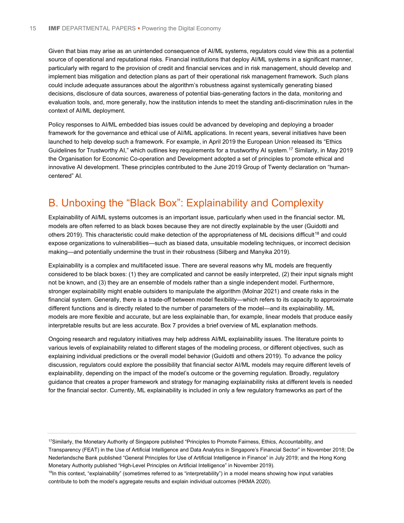Given that bias may arise as an unintended consequence of AI/ML systems, regulators could view this as a potential source of operational and reputational risks. Financial institutions that deploy AI/ML systems in a significant manner, particularly with regard to the provision of credit and financial services and in risk management, should develop and implement bias mitigation and detection plans as part of their operational risk management framework. Such plans could include adequate assurances about the algorithm's robustness against systemically generating biased decisions, disclosure of data sources, awareness of potential bias-generating factors in the data, monitoring and evaluation tools, and, more generally, how the institution intends to meet the standing anti-discrimination rules in the context of AI/ML deployment.

Policy responses to AI/ML embedded bias issues could be advanced by developing and deploying a broader framework for the governance and ethical use of AI/ML applications. In recent years, several initiatives have been launched to help develop such a framework. For example, in April 2019 the European Union released its "Ethics Guidelines for Trustworthy AI," which outlines key requirements for a trustworthy AI system.[17](#page-17-0) Similarly, in May 2019 the Organisation for Economic Co-operation and Development adopted a set of principles to promote ethical and innovative AI development. These principles contributed to the June 2019 Group of Twenty declaration on "humancentered" AI.

## B. Unboxing the "Black Box": Explainability and Complexity

Explainability of AI/ML systems outcomes is an important issue, particularly when used in the financial sector. ML models are often referred to as black boxes because they are not directly explainable by the user (Guidotti and others 2019). This characteristic could make detection of the appropriateness of ML decisions difficult<sup>[18](#page-17-1)</sup> and could expose organizations to vulnerabilities—such as biased data, unsuitable modeling techniques, or incorrect decision making—and potentially undermine the trust in their robustness (Silberg and Manyika 2019).

Explainability is a complex and multifaceted issue. There are several reasons why ML models are frequently considered to be black boxes: (1) they are complicated and cannot be easily interpreted, (2) their input signals might not be known, and (3) they are an ensemble of models rather than a single independent model. Furthermore, stronger explainability might enable outsiders to manipulate the algorithm (Molnar 2021) and create risks in the financial system. Generally, there is a trade-off between model flexibility—which refers to its capacity to approximate different functions and is directly related to the number of parameters of the model—and its explainability. ML models are more flexible and accurate, but are less explainable than, for example, linear models that produce easily interpretable results but are less accurate. Box 7 provides a brief overview of ML explanation methods.

Ongoing research and regulatory initiatives may help address AI/ML explainability issues. The literature points to various levels of explainability related to different stages of the modeling process, or different objectives, such as explaining individual predictions or the overall model behavior (Guidotti and others 2019). To advance the policy discussion, regulators could explore the possibility that financial sector AI/ML models may require different levels of explainability, depending on the impact of the model's outcome or the governing regulation. Broadly, regulatory guidance that creates a proper framework and strategy for managing explainability risks at different levels is needed for the financial sector. Currently, ML explainability is included in only a few regulatory frameworks as part of the

<span id="page-17-0"></span><sup>17</sup>Similarly, the Monetary Authority of Singapore published "Principles to Promote Fairness, Ethics, Accountability, and Transparency (FEAT) in the Use of Artificial Intelligence and Data Analytics in Singapore's Financial Sector" in November 2018; De Nederlandsche Bank published "General Principles for Use of Artificial Intelligence in Finance" in July 2019; and the Hong Kong Monetary Authority published "High-Level Principles on Artificial Intelligence" in November 2019).

<span id="page-17-1"></span><sup>&</sup>lt;sup>18</sup>In this context, "explainability" (sometimes referred to as "interpretability") in a model means showing how input variables contribute to both the model's aggregate results and explain individual outcomes (HKMA 2020).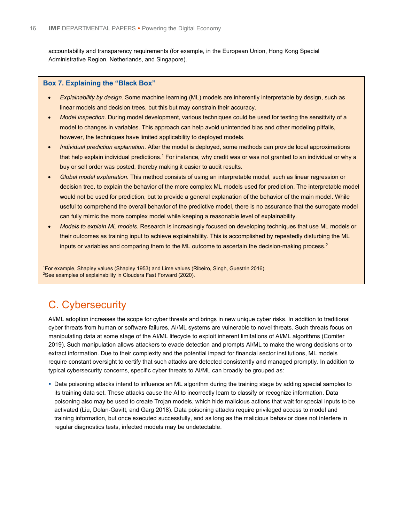accountability and transparency requirements (for example, in the European Union, Hong Kong Special Administrative Region, Netherlands, and Singapore).

### **Box 7. Explaining the "Black Box"**

- *Explainability by design.* Some machine learning (ML) models are inherently interpretable by design, such as linear models and decision trees, but this but may constrain their accuracy.
- *Model inspection.* During model development, various techniques could be used for testing the sensitivity of a model to changes in variables. This approach can help avoid unintended bias and other modeling pitfalls, however, the techniques have limited applicability to deployed models.
- *Individual prediction explanation.* After the model is deployed, some methods can provide local approximations that help explain individual predictions.<sup>1</sup> For instance, why credit was or was not granted to an individual or why a buy or sell order was posted, thereby making it easier to audit results.
- *Global model explanation.* This method consists of using an interpretable model, such as linear regression or decision tree, to explain the behavior of the more complex ML models used for prediction. The interpretable model would not be used for prediction, but to provide a general explanation of the behavior of the main model. While useful to comprehend the overall behavior of the predictive model, there is no assurance that the surrogate model can fully mimic the more complex model while keeping a reasonable level of explainability.
- *Models to explain ML models*. Research is increasingly focused on developing techniques that use ML models or their outcomes as training input to achieve explainability. This is accomplished by repeatedly disturbing the ML inputs or variables and comparing them to the ML outcome to ascertain the decision-making process.2

1 For example, Shapley values (Shapley 1953) and Lime values (Ribeiro, Singh, Guestrin 2016).  $^{2}$ See examples of explainability in Cloudera Fast Forward (2020).

## C. Cybersecurity

AI/ML adoption increases the scope for cyber threats and brings in new unique cyber risks. In addition to traditional cyber threats from human or software failures, AI/ML systems are vulnerable to novel threats. Such threats focus on manipulating data at some stage of the AI/ML lifecycle to exploit inherent limitations of AI/ML algorithms (Comiter 2019). Such manipulation allows attackers to evade detection and prompts AI/ML to make the wrong decisions or to extract information. Due to their complexity and the potential impact for financial sector institutions, ML models require constant oversight to certify that such attacks are detected consistently and managed promptly. In addition to typical cybersecurity concerns, specific cyber threats to AI/ML can broadly be grouped as:

 Data poisoning attacks intend to influence an ML algorithm during the training stage by adding special samples to its training data set. These attacks cause the AI to incorrectly learn to classify or recognize information. Data poisoning also may be used to create Trojan models, which hide malicious actions that wait for special inputs to be activated (Liu, Dolan-Gavitt, and Garg 2018). Data poisoning attacks require privileged access to model and training information, but once executed successfully, and as long as the malicious behavior does not interfere in regular diagnostics tests, infected models may be undetectable.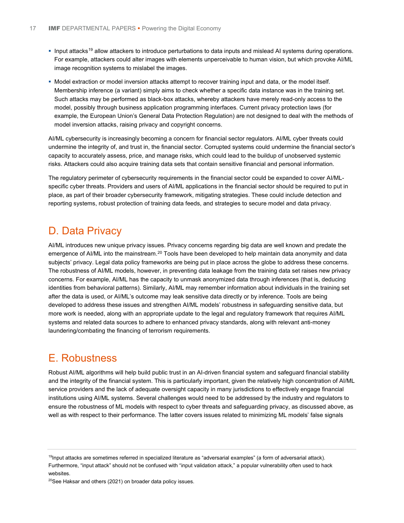- Input attacks<sup>[19](#page-19-0)</sup> allow attackers to introduce perturbations to data inputs and mislead AI systems during operations. For example, attackers could alter images with elements unperceivable to human vision, but which provoke AI/ML image recognition systems to mislabel the images.
- Model extraction or model inversion attacks attempt to recover training input and data, or the model itself. Membership inference (a variant) simply aims to check whether a specific data instance was in the training set. Such attacks may be performed as black-box attacks, whereby attackers have merely read-only access to the model, possibly through business application programming interfaces. Current privacy protection laws (for example, the European Union's General Data Protection Regulation) are not designed to deal with the methods of model inversion attacks, raising privacy and copyright concerns.

AI/ML cybersecurity is increasingly becoming a concern for financial sector regulators. AI/ML cyber threats could undermine the integrity of, and trust in, the financial sector. Corrupted systems could undermine the financial sector's capacity to accurately assess, price, and manage risks, which could lead to the buildup of unobserved systemic risks. Attackers could also acquire training data sets that contain sensitive financial and personal information.

The regulatory perimeter of cybersecurity requirements in the financial sector could be expanded to cover AI/MLspecific cyber threats. Providers and users of AI/ML applications in the financial sector should be required to put in place, as part of their broader cybersecurity framework, mitigating strategies. These could include detection and reporting systems, robust protection of training data feeds, and strategies to secure model and data privacy.

### D. Data Privacy

AI/ML introduces new unique privacy issues. Privacy concerns regarding big data are well known and predate the emergence of AI/ML into the mainstream.<sup>[20](#page-19-1)</sup> Tools have been developed to help maintain data anonymity and data subjects' privacy. Legal data policy frameworks are being put in place across the globe to address these concerns. The robustness of AI/ML models, however, in preventing data leakage from the training data set raises new privacy concerns. For example, AI/ML has the capacity to unmask anonymized data through inferences (that is, deducing identities from behavioral patterns). Similarly, AI/ML may remember information about individuals in the training set after the data is used, or AI/ML's outcome may leak sensitive data directly or by inference. Tools are being developed to address these issues and strengthen AI/ML models' robustness in safeguarding sensitive data, but more work is needed, along with an appropriate update to the legal and regulatory framework that requires AI/ML systems and related data sources to adhere to enhanced privacy standards, along with relevant anti-money laundering/combating the financing of terrorism requirements.

### E. Robustness

Robust AI/ML algorithms will help build public trust in an AI-driven financial system and safeguard financial stability and the integrity of the financial system. This is particularly important, given the relatively high concentration of AI/ML service providers and the lack of adequate oversight capacity in many jurisdictions to effectively engage financial institutions using AI/ML systems. Several challenges would need to be addressed by the industry and regulators to ensure the robustness of ML models with respect to cyber threats and safeguarding privacy, as discussed above, as well as with respect to their performance. The latter covers issues related to minimizing ML models' false signals

<span id="page-19-0"></span><sup>&</sup>lt;sup>19</sup>Input attacks are sometimes referred in specialized literature as "adversarial examples" (a form of adversarial attack). Furthermore, "input attack" should not be confused with "input validation attack," a popular vulnerability often used to hack websites.

<span id="page-19-1"></span> $20$ See Haksar and others (2021) on broader data policy issues.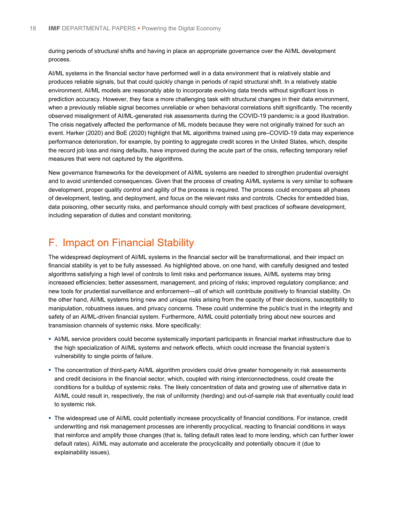during periods of structural shifts and having in place an appropriate governance over the AI/ML development process.

AI/ML systems in the financial sector have performed well in a data environment that is relatively stable and produces reliable signals, but that could quickly change in periods of rapid structural shift. In a relatively stable environment, AI/ML models are reasonably able to incorporate evolving data trends without significant loss in prediction accuracy. However, they face a more challenging task with structural changes in their data environment, when a previously reliable signal becomes unreliable or when behavioral correlations shift significantly. The recently observed misalignment of AI/ML-generated risk assessments during the COVID-19 pandemic is a good illustration. The crisis negatively affected the performance of ML models because they were not originally trained for such an event. Harker (2020) and BoE (2020) highlight that ML algorithms trained using pre–COVID-19 data may experience performance deterioration, for example, by pointing to aggregate credit scores in the United States, which, despite the record job loss and rising defaults, have improved during the acute part of the crisis, reflecting temporary relief measures that were not captured by the algorithms.

New governance frameworks for the development of AI/ML systems are needed to strengthen prudential oversight and to avoid unintended consequences. Given that the process of creating AI/ML systems is very similar to software development, proper quality control and agility of the process is required. The process could encompass all phases of development, testing, and deployment, and focus on the relevant risks and controls. Checks for embedded bias, data poisoning, other security risks, and performance should comply with best practices of software development, including separation of duties and constant monitoring.

### F. Impact on Financial Stability

The widespread deployment of AI/ML systems in the financial sector will be transformational, and their impact on financial stability is yet to be fully assessed. As highlighted above, on one hand, with carefully designed and tested algorithms satisfying a high level of controls to limit risks and performance issues, AI/ML systems may bring increased efficiencies; better assessment, management, and pricing of risks; improved regulatory compliance; and new tools for prudential surveillance and enforcement—all of which will contribute positively to financial stability. On the other hand, AI/ML systems bring new and unique risks arising from the opacity of their decisions, susceptibility to manipulation, robustness issues, and privacy concerns. These could undermine the public's trust in the integrity and safety of an AI/ML-driven financial system. Furthermore, AI/ML could potentially bring about new sources and transmission channels of systemic risks. More specifically:

- AI/ML service providers could become systemically important participants in financial market infrastructure due to the high specialization of AI/ML systems and network effects, which could increase the financial system's vulnerability to single points of failure.
- The concentration of third-party AI/ML algorithm providers could drive greater homogeneity in risk assessments and credit decisions in the financial sector, which, coupled with rising interconnectedness, could create the conditions for a buildup of systemic risks. The likely concentration of data and growing use of alternative data in AI/ML could result in, respectively, the risk of uniformity (herding) and out-of-sample risk that eventually could lead to systemic risk.
- The widespread use of AI/ML could potentially increase procyclicality of financial conditions. For instance, credit underwriting and risk management processes are inherently procyclical, reacting to financial conditions in ways that reinforce and amplify those changes (that is, falling default rates lead to more lending, which can further lower default rates). AI/ML may automate and accelerate the procyclicality and potentially obscure it (due to explainability issues).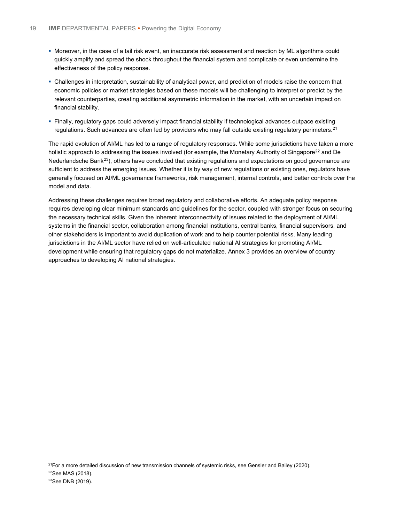- Moreover, in the case of a tail risk event, an inaccurate risk assessment and reaction by ML algorithms could quickly amplify and spread the shock throughout the financial system and complicate or even undermine the effectiveness of the policy response.
- Challenges in interpretation, sustainability of analytical power, and prediction of models raise the concern that economic policies or market strategies based on these models will be challenging to interpret or predict by the relevant counterparties, creating additional asymmetric information in the market, with an uncertain impact on financial stability.
- Finally, regulatory gaps could adversely impact financial stability if technological advances outpace existing regulations. Such advances are often led by providers who may fall outside existing regulatory perimeters.<sup>[21](#page-21-0)</sup>

The rapid evolution of AI/ML has led to a range of regulatory responses. While some jurisdictions have taken a more holistic approach to addressing the issues involved (for example, the Monetary Authority of Singapore<sup>[22](#page-21-1)</sup> and De Nederlandsche Bank<sup>[23](#page-21-2)</sup>), others have concluded that existing regulations and expectations on good governance are sufficient to address the emerging issues. Whether it is by way of new regulations or existing ones, regulators have generally focused on AI/ML governance frameworks, risk management, internal controls, and better controls over the model and data.

Addressing these challenges requires broad regulatory and collaborative efforts. An adequate policy response requires developing clear minimum standards and guidelines for the sector, coupled with stronger focus on securing the necessary technical skills. Given the inherent interconnectivity of issues related to the deployment of AI/ML systems in the financial sector, collaboration among financial institutions, central banks, financial supervisors, and other stakeholders is important to avoid duplication of work and to help counter potential risks. Many leading jurisdictions in the AI/ML sector have relied on well-articulated national AI strategies for promoting AI/ML development while ensuring that regulatory gaps do not materialize. Annex 3 provides an overview of country approaches to developing AI national strategies.

 $21$ For a more detailed discussion of new transmission channels of systemic risks, see Gensler and Bailey (2020).

<span id="page-21-2"></span><span id="page-21-1"></span><span id="page-21-0"></span><sup>22</sup>See MAS (2018).

<sup>&</sup>lt;sup>23</sup>See DNB (2019).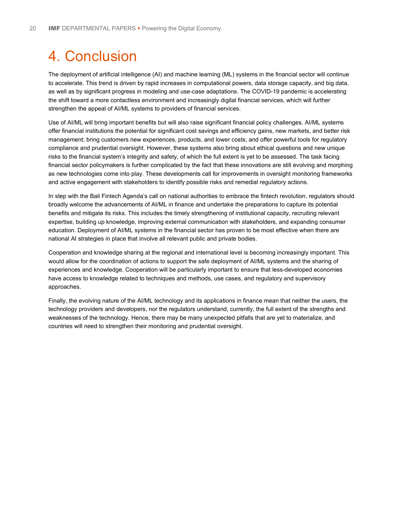# 4. Conclusion

The deployment of artificial intelligence (AI) and machine learning (ML) systems in the financial sector will continue to accelerate. This trend is driven by rapid increases in computational powers, data storage capacity, and big data, as well as by significant progress in modeling and use-case adaptations. The COVID-19 pandemic is accelerating the shift toward a more contactless environment and increasingly digital financial services, which will further strengthen the appeal of AI/ML systems to providers of financial services.

Use of AI/ML will bring important benefits but will also raise significant financial policy challenges. AI/ML systems offer financial institutions the potential for significant cost savings and efficiency gains, new markets, and better risk management; bring customers new experiences, products, and lower costs; and offer powerful tools for regulatory compliance and prudential oversight. However, these systems also bring about ethical questions and new unique risks to the financial system's integrity and safety, of which the full extent is yet to be assessed. The task facing financial sector policymakers is further complicated by the fact that these innovations are still evolving and morphing as new technologies come into play. These developments call for improvements in oversight monitoring frameworks and active engagement with stakeholders to identify possible risks and remedial regulatory actions.

In step with the Bali Fintech Agenda's call on national authorities to embrace the fintech revolution, regulators should broadly welcome the advancements of AI/ML in finance and undertake the preparations to capture its potential benefits and mitigate its risks. This includes the timely strengthening of institutional capacity, recruiting relevant expertise, building up knowledge, improving external communication with stakeholders, and expanding consumer education. Deployment of AI/ML systems in the financial sector has proven to be most effective when there are national AI strategies in place that involve all relevant public and private bodies.

Cooperation and knowledge sharing at the regional and international level is becoming increasingly important. This would allow for the coordination of actions to support the safe deployment of AI/ML systems and the sharing of experiences and knowledge. Cooperation will be particularly important to ensure that less-developed economies have access to knowledge related to techniques and methods, use cases, and regulatory and supervisory approaches.

Finally, the evolving nature of the AI/ML technology and its applications in finance mean that neither the users, the technology providers and developers, nor the regulators understand, currently, the full extent of the strengths and weaknesses of the technology. Hence, there may be many unexpected pitfalls that are yet to materialize, and countries will need to strengthen their monitoring and prudential oversight.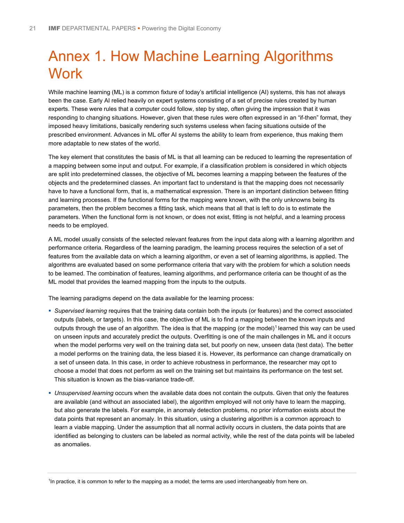# Annex 1. How Machine Learning Algorithms **Work**

While machine learning (ML) is a common fixture of today's artificial intelligence (AI) systems, this has not always been the case. Early AI relied heavily on expert systems consisting of a set of precise rules created by human experts. These were rules that a computer could follow, step by step, often giving the impression that it was responding to changing situations. However, given that these rules were often expressed in an "if-then" format, they imposed heavy limitations, basically rendering such systems useless when facing situations outside of the prescribed environment. Advances in ML offer AI systems the ability to learn from experience, thus making them more adaptable to new states of the world.

The key element that constitutes the basis of ML is that all learning can be reduced to learning the representation of a mapping between some input and output. For example, if a classification problem is considered in which objects are split into predetermined classes, the objective of ML becomes learning a mapping between the features of the objects and the predetermined classes. An important fact to understand is that the mapping does not necessarily have to have a functional form, that is, a mathematical expression. There is an important distinction between fitting and learning processes. If the functional forms for the mapping were known, with the only unknowns being its parameters, then the problem becomes a fitting task, which means that all that is left to do is to estimate the parameters. When the functional form is not known, or does not exist, fitting is not helpful, and a learning process needs to be employed.

A ML model usually consists of the selected relevant features from the input data along with a learning algorithm and performance criteria. Regardless of the learning paradigm, the learning process requires the selection of a set of features from the available data on which a learning algorithm, or even a set of learning algorithms, is applied. The algorithms are evaluated based on some performance criteria that vary with the problem for which a solution needs to be learned. The combination of features, learning algorithms, and performance criteria can be thought of as the ML model that provides the learned mapping from the inputs to the outputs.

The learning paradigms depend on the data available for the learning process:

- *Supervised learning* requires that the training data contain both the inputs (or features) and the correct associated outputs (labels, or targets). In this case, the objective of ML is to find a mapping between the known inputs and outputs through the use of an algorithm. The idea is that the mapping (or the model)<sup>[1](#page-23-0)</sup> learned this way can be used on unseen inputs and accurately predict the outputs. Overfitting is one of the main challenges in ML and it occurs when the model performs very well on the training data set, but poorly on new, unseen data (test data). The better a model performs on the training data, the less biased it is. However, its performance can change dramatically on a set of unseen data. In this case, in order to achieve robustness in performance, the researcher may opt to choose a model that does not perform as well on the training set but maintains its performance on the test set. This situation is known as the bias-variance trade-off.
- *Unsupervised learning* occurs when the available data does not contain the outputs. Given that only the features are available (and without an associated label), the algorithm employed will not only have to learn the mapping, but also generate the labels. For example, in anomaly detection problems, no prior information exists about the data points that represent an anomaly. In this situation, using a clustering algorithm is a common approach to learn a viable mapping. Under the assumption that all normal activity occurs in clusters, the data points that are identified as belonging to clusters can be labeled as normal activity, while the rest of the data points will be labeled as anomalies.

<span id="page-23-0"></span><sup>1</sup> In practice, it is common to refer to the mapping as a model; the terms are used interchangeably from here on.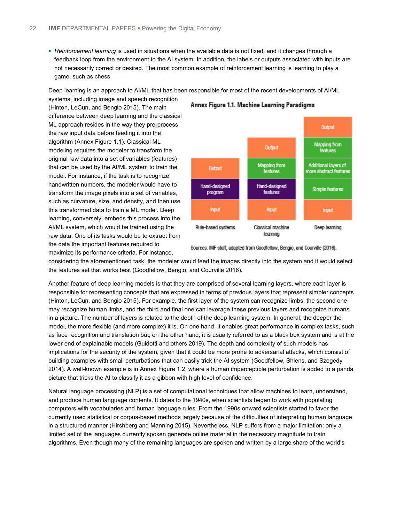*Reinforcement learning* is used in situations when the available data is not fixed, and it changes through a feedback loop from the environment to the AI system. In addition, the labels or outputs associated with inputs are not necessarily correct or desired. The most common example of reinforcement learning is learning to play a game, such as chess.

Deep learning is an approach to AI/ML that has been responsible for most of the recent developments of AI/ML

systems, including image and speech recognition (Hinton, LeCun, and Bengio 2015). The main difference between deep learning and the classical ML approach resides in the way they pre-process the raw input data before feeding it into the algorithm (Annex Figure 1.1). Classical ML modeling requires the modeler to transform the original raw data into a set of variables (features) that can be used by the AI/ML system to train the model. For instance, if the task is to recognize handwritten numbers, the modeler would have to transform the image pixels into a set of variables, such as curvature, size, and density, and then use this transformed data to train a ML model. Deep learning, conversely, embeds this process into the AI/ML system, which would be trained using the raw data. One of its tasks would be to extract from the data the important features required to

maximize its performance criteria. For instance,





Sources: IMF staff; adapted from Goodfellow, Bengio, and Courville (2016).

considering the aforementioned task, the modeler would feed the images directly into the system and it would select the features set that works best (Goodfellow, Bengio, and Courville 2016).

Another feature of deep learning models is that they are comprised of several learning layers, where each layer is responsible for representing concepts that are expressed in terms of previous layers that represent simpler concepts (Hinton, LeCun, and Bengio 2015). For example, the first layer of the system can recognize limbs, the second one may recognize human limbs, and the third and final one can leverage these previous layers and recognize humans in a picture. The number of layers is related to the depth of the deep learning system. In general, the deeper the model, the more flexible (and more complex) it is. On one hand, it enables great performance in complex tasks, such as face recognition and translation but, on the other hand, it is usually referred to as a black box system and is at the lower end of explainable models (Guidotti and others 2019). The depth and complexity of such models has implications for the security of the system, given that it could be more prone to adversarial attacks, which consist of building examples with small perturbations that can easily trick the AI system (Goodfellow, Shlens, and Szegedy 2014). A well-known example is in Annex Figure 1.2, where a human imperceptible perturbation is added to a panda picture that tricks the AI to classify it as a gibbon with high level of confidence.

Natural language processing (NLP) is a set of computational techniques that allow machines to learn, understand, and produce human language contents. It dates to the 1940s, when scientists began to work with populating computers with vocabularies and human language rules. From the 1990s onward scientists started to favor the currently used statistical or corpus-based methods largely because of the difficulties of interpreting human language in a structured manner (Hirshberg and Manning 2015). Nevertheless, NLP suffers from a major limitation: only a limited set of the languages currently spoken generate online material in the necessary magnitude to train algorithms. Even though many of the remaining languages are spoken and written by a large share of the world's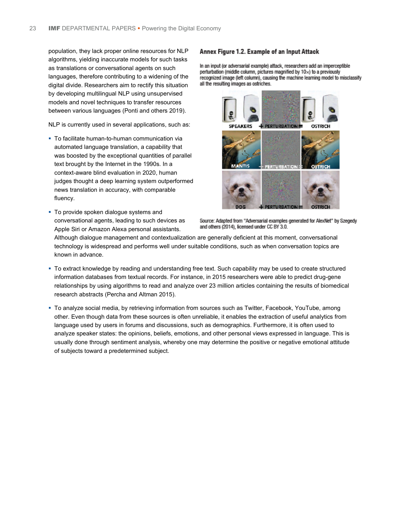population, they lack proper online resources for NLP algorithms, yielding inaccurate models for such tasks as translations or conversational agents on such languages, therefore contributing to a widening of the digital divide. Researchers aim to rectify this situation by developing multilingual NLP using unsupervised models and novel techniques to transfer resources between various languages (Ponti and others 2019).

NLP is currently used in several applications, such as:

- To facilitate human-to-human communication via automated language translation, a capability that was boosted by the exceptional quantities of parallel text brought by the Internet in the 1990s. In a context-aware blind evaluation in 2020, human judges thought a deep learning system outperformed news translation in accuracy, with comparable fluency.
- To provide spoken dialogue systems and conversational agents, leading to such devices as Apple Siri or Amazon Alexa personal assistants.

#### Annex Figure 1.2. Example of an Input Attack

In an input (or adversarial example) attack, researchers add an imperceptible perturbation (middle column, pictures magnified by 10x) to a previously recognized image (left column), causing the machine learning model to misclassify all the resulting images as ostriches.



Source: Adapted from "Adversarial examples generated for AlexNet" by Szegedy and others (2014), licensed under CC BY 3.0.

Although dialogue management and contextualization are generally deficient at this moment, conversational technology is widespread and performs well under suitable conditions, such as when conversation topics are known in advance.

- To extract knowledge by reading and understanding free text. Such capability may be used to create structured information databases from textual records. For instance, in 2015 researchers were able to predict drug-gene relationships by using algorithms to read and analyze over 23 million articles containing the results of biomedical research abstracts (Percha and Altman 2015).
- To analyze social media, by retrieving information from sources such as Twitter, Facebook, YouTube, among other. Even though data from these sources is often unreliable, it enables the extraction of useful analytics from language used by users in forums and discussions, such as demographics. Furthermore, it is often used to analyze speaker states: the opinions, beliefs, emotions, and other personal views expressed in language. This is usually done through sentiment analysis, whereby one may determine the positive or negative emotional attitude of subjects toward a predetermined subject.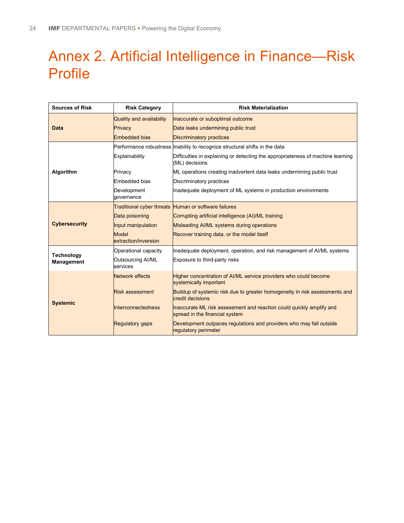# Annex 2. Artificial Intelligence in Finance—Risk Profile

| <b>Sources of Risk</b>                 | <b>Risk Category</b>                 | <b>Risk Materialization</b>                                                                            |
|----------------------------------------|--------------------------------------|--------------------------------------------------------------------------------------------------------|
| <b>Data</b>                            | Quality and availability             | Inaccurate or suboptimal outcome                                                                       |
|                                        | Privacy                              | Data leaks undermining public trust                                                                    |
|                                        | <b>Embedded bias</b>                 | <b>Discriminatory practices</b>                                                                        |
|                                        |                                      | Performance robustness Inability to recognize structural shifts in the data                            |
|                                        | Explainability                       | Difficulties in explaining or detecting the appropriateness of machine learning<br>(ML) decisions      |
| Algorithm                              | Privacy                              | ML operations creating inadvertent data leaks undermining public trust                                 |
|                                        | Embedded bias                        | Discriminatory practices                                                                               |
|                                        | Development<br>qovernance            | Inadequate deployment of ML systems in production environments                                         |
| <b>Cybersecurity</b>                   |                                      | Traditional cyber threats Human or software failures                                                   |
|                                        | Data poisoning                       | Corrupting artificial intelligence (AI)/ML training                                                    |
|                                        | Input manipulation                   | Misleading AI/ML systems during operations                                                             |
|                                        | <b>Model</b><br>extraction/inversion | Recover training data, or the model itself                                                             |
|                                        | Operational capacity                 | Inadequate deployment, operation, and risk management of AI/ML systems                                 |
| <b>Technology</b><br><b>Management</b> | <b>Outsourcing AI/ML</b><br>services | Exposure to third-party risks                                                                          |
| <b>Systemic</b>                        | <b>Network effects</b>               | Higher concentration of AI/ML service providers who could become<br>systemically important             |
|                                        | <b>Risk assessment</b>               | Buildup of systemic risk due to greater homogeneity in risk assessments and<br>credit decisions        |
|                                        | <b>Interconnectedness</b>            | Inaccurate ML risk assessment and reaction could quickly amplify and<br>spread in the financial system |
|                                        | <b>Regulatory gaps</b>               | Development outpaces regulations and providers who may fall outside<br>regulatory perimeter            |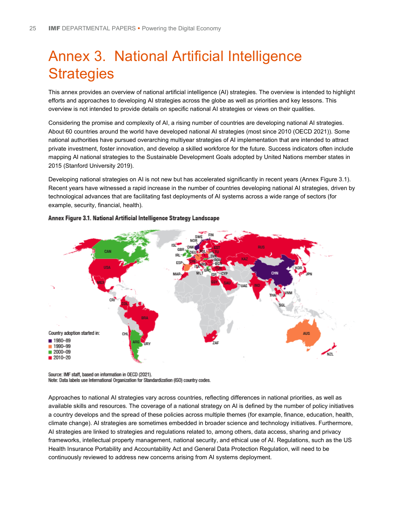# Annex 3. National Artificial Intelligence **Strategies**

This annex provides an overview of national artificial intelligence (AI) strategies. The overview is intended to highlight efforts and approaches to developing AI strategies across the globe as well as priorities and key lessons. This overview is not intended to provide details on specific national AI strategies or views on their qualities.

Considering the promise and complexity of AI, a rising number of countries are developing national AI strategies. About 60 countries around the world have developed national AI strategies (most since 2010 (OECD 2021)). Some national authorities have pursued overarching multiyear strategies of AI implementation that are intended to attract private investment, foster innovation, and develop a skilled workforce for the future. Success indicators often include mapping AI national strategies to the Sustainable Development Goals adopted by United Nations member states in 2015 (Stanford University 2019).

Developing national strategies on AI is not new but has accelerated significantly in recent years (Annex Figure 3.1). Recent years have witnessed a rapid increase in the number of countries developing national AI strategies, driven by technological advances that are facilitating fast deployments of AI systems across a wide range of sectors (for example, security, financial, health).



#### Annex Figure 3.1. National Artificial Intelligence Strategy Landscape

Source: IMF staff, based on information in OECD (2021).

Note: Data labels use International Organization for Standardization (ISO) country codes.

Approaches to national AI strategies vary across countries, reflecting differences in national priorities, as well as available skills and resources. The coverage of a national strategy on AI is defined by the number of policy initiatives a country develops and the spread of these policies across multiple themes (for example, finance, education, health, climate change). AI strategies are sometimes embedded in broader science and technology initiatives. Furthermore, AI strategies are linked to strategies and regulations related to, among others, data access, sharing and privacy frameworks, intellectual property management, national security, and ethical use of AI. Regulations, such as the US Health Insurance Portability and Accountability Act and General Data Protection Regulation, will need to be continuously reviewed to address new concerns arising from AI systems deployment.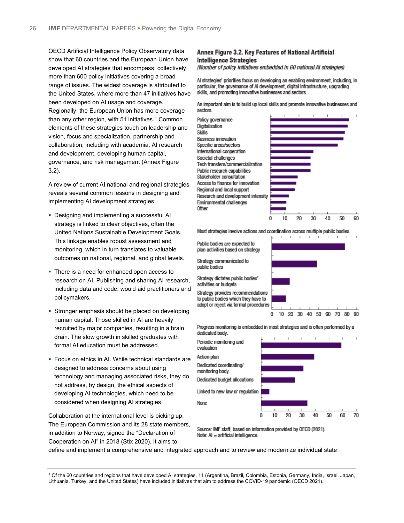OECD Artificial Intelligence Policy Observatory data show that 60 countries and the European Union have developed AI strategies that encompass, collectively, more than 600 policy initiatives covering a broad range of issues. The widest coverage is attributed to the United States, where more than 47 initiatives have been developed on AI usage and coverage. Regionally, the European Union has more coverage than any other region, with 5[1](#page-28-0) initiatives.<sup>1</sup> Common elements of these strategies touch on leadership and vision, focus and specialization, partnership and collaboration, including with academia, AI research and development, developing human capital, governance, and risk management (Annex Figure 3.2).

A review of current AI national and regional strategies reveals several common lessons in designing and implementing AI development strategies:

- **Designing and implementing a successful AI** strategy is linked to clear objectives, often the United Nations Sustainable Development Goals. This linkage enables robust assessment and monitoring, which in turn translates to valuable outcomes on national, regional, and global levels.
- There is a need for enhanced open access to research on AI. Publishing and sharing AI research, including data and code, would aid practitioners and policymakers.
- **Stronger emphasis should be placed on developing** human capital. Those skilled in AI are heavily recruited by major companies, resulting in a brain drain. The slow growth in skilled graduates with formal AI education must be addressed.
- Focus on ethics in AI. While technical standards are designed to address concerns about using technology and managing associated risks, they do not address, by design, the ethical aspects of developing AI technologies, which need to be considered when designing AI strategies.

Collaboration at the international level is picking up. The European Commission and its 28 state members, in addition to Norway, signed the "Declaration of Cooperation on AI" in 2018 (Stix 2020). It aims to

#### Annex Figure 3.2. Key Features of National Artificial **Intelligence Strategies**

(Number of policy initiatives embedded in 60 national AI strategies)

Al strategies' priorities focus on developing an enabling environment, including, in particular, the governance of AI development, digital infrastructure, upgrading skills, and promoting innovative businesses and sectors.

An important aim is to build up local skills and promote innovative businesses and sectors.



Most strategies involve actions and coordination across multiple public bodies.

Public bodies are expected to plan activities based on strategy

Strategy communicated to public bodies

Strategy dictates public bodies' activities or budgets

Strategy provides recommendations to public bodies which they have to adopt or reject via formal procedures



Progress monitoring is embedded in most strategies and is often performed by a dedicated body.



Source: IMF staff, based on information provided by OECD (2021). Note:  $AI =$  artificial intelligence.

define and implement a comprehensive and integrated approach and to review and modernize individual state

<span id="page-28-0"></span><sup>1</sup> Of the 60 countries and regions that have developed AI strategies, 11 (Argentina, Brazil, Colombia, Estonia, Germany, India, Israel, Japan, Lithuania, Turkey, and the United States) have included initiatives that aim to address the COVID-19 pandemic (OECD 2021).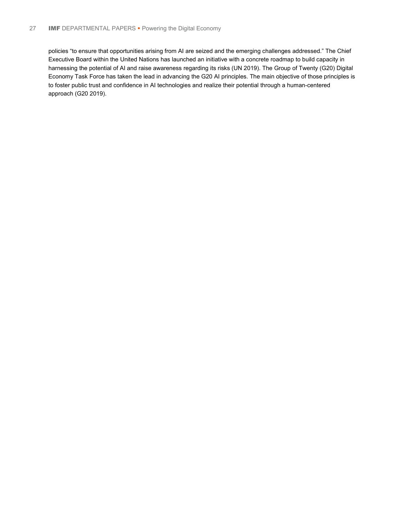policies "to ensure that opportunities arising from AI are seized and the emerging challenges addressed." The Chief Executive Board within the United Nations has launched an initiative with a concrete roadmap to build capacity in harnessing the potential of AI and raise awareness regarding its risks (UN 2019). The Group of Twenty (G20) Digital Economy Task Force has taken the lead in advancing the G20 AI principles. The main objective of those principles is to foster public trust and confidence in AI technologies and realize their potential through a human-centered approach (G20 2019).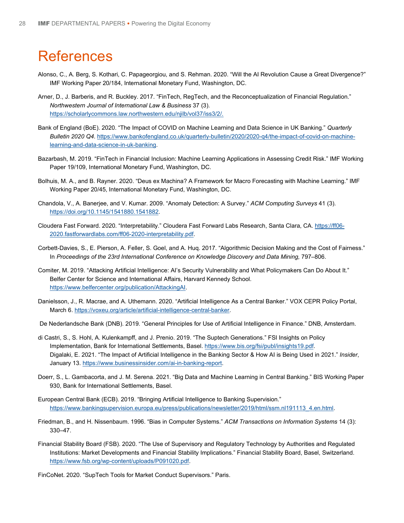## **References**

- Alonso, C., A. Berg, S. Kothari, C. Papageorgiou, and S. Rehman. 2020. "Will the AI Revolution Cause a Great Divergence?" IMF Working Paper 20/184, International Monetary Fund, Washington, DC.
- Arner, D., J. Barberis, and R. Buckley. 2017. "FinTech, RegTech, and the Reconceptualization of Financial Regulation." *Northwestern Journal of International Law & Business* 37 (3). [https://scholarlycommons.law.northwestern.edu/njilb/vol37/iss3/2/.](https://scholarlycommons.law.northwestern.edu/njilb/vol37/iss3/2/)
- Bank of England (BoE). 2020. "The Impact of COVID on Machine Learning and Data Science in UK Banking." *Quarterly Bulletin 2020 Q4*. [https://www.bankofengland.co.uk/quarterly-bulletin/2020/2020-q4/the-impact-of-covid-on-machine](https://www.bankofengland.co.uk/quarterly-bulletin/2020/2020-q4/the-impact-of-covid-on-machine-learning-and-data-science-in-uk-banking)[learning-and-data-science-in-uk-banking.](https://www.bankofengland.co.uk/quarterly-bulletin/2020/2020-q4/the-impact-of-covid-on-machine-learning-and-data-science-in-uk-banking)
- Bazarbash, M. 2019. "FinTech in Financial Inclusion: Machine Learning Applications in Assessing Credit Risk." IMF Working Paper 19/109, International Monetary Fund, Washington, DC.
- Bolhuis, M. A., and B. Rayner. 2020. "Deus ex Machina? A Framework for Macro Forecasting with Machine Learning." IMF Working Paper 20/45, International Monetary Fund, Washington, DC.
- Chandola, V., A. Banerjee, and V. Kumar. 2009. "Anomaly Detection: A Survey." *ACM Computing Surveys* 41 (3). [https://doi.org/10.1145/1541880.1541882.](https://doi.org/10.1145/1541880.1541882)
- Cloudera Fast Forward. 2020. "Interpretability." Cloudera Fast Forward Labs Research, Santa Clara, CA. [https://ff06-](https://ff06-2020.fastforwardlabs.com/ff06-2020-interpretability.pdf) [2020.fastforwardlabs.com/ff06-2020-interpretability.pdf.](https://ff06-2020.fastforwardlabs.com/ff06-2020-interpretability.pdf)
- Corbett-Davies, S., E. Pierson, A. Feller, S. Goel, and A. Huq. 2017. "Algorithmic Decision Making and the Cost of Fairness." In Proceedings of the 23rd International Conference on Knowledge Discovery and Data Mining, 797-806.
- Comiter, M. 2019. "Attacking Artificial Intelligence: AI's Security Vulnerability and What Policymakers Can Do About It." Belfer Center for Science and International Affairs, Harvard Kennedy School. [https://www.belfercenter.org/publication/AttackingAI.](https://www.belfercenter.org/publication/AttackingAI)
- Danielsson, J., R. Macrae, and A. Uthemann. 2020. "Artificial Intelligence As a Central Banker." VOX CEPR Policy Portal, March 6. [https://voxeu.org/article/artificial-intelligence-central-banker.](https://voxeu.org/article/artificial-intelligence-central-banker)
- De Nederlandsche Bank (DNB). 2019. "General Principles for Use of Artificial Intelligence in Finance." DNB, Amsterdam.
- di Castri, S., S. Hohl, A. Kulenkampff, and J. Prenio. 2019. "The Suptech Generations." FSI Insights on Policy Implementation, Bank for International Settlements, Basel. [https://www.bis.org/fsi/publ/insights19.pdf.](https://www.bis.org/fsi/publ/insights19.pdf) Digalaki, E. 2021. "The Impact of Artificial Intelligence in the Banking Sector & How AI is Being Used in 2021." *Insider*, January 13. [https://www.businessinsider.com/ai-in-banking-report.](https://www.businessinsider.com/ai-in-banking-report)
- Doerr, S., L. Gambacorta, and J. M. Serena. 2021. "Big Data and Machine Learning in Central Banking." BIS Working Paper 930, Bank for International Settlements, Basel.
- European Central Bank (ECB). 2019. "Bringing Artificial Intelligence to Banking Supervision." [https://www.bankingsupervision.europa.eu/press/publications/newsletter/2019/html/ssm.nl191113\\_4.en.html.](https://www.bankingsupervision.europa.eu/press/publications/newsletter/2019/html/ssm.nl191113_4.en.html)
- Friedman, B., and H. Nissenbaum. 1996. "Bias in Computer Systems." *ACM Transactions on Information Systems* 14 (3): 330–47.
- Financial Stability Board (FSB). 2020. "The Use of Supervisory and Regulatory Technology by Authorities and Regulated Institutions: Market Developments and Financial Stability Implications." Financial Stability Board, Basel, Switzerland. [https://www.fsb.org/wp-content/uploads/P091020.pdf.](https://www.fsb.org/wp-content/uploads/P091020.pdf)
- FinCoNet. 2020. "SupTech Tools for Market Conduct Supervisors." Paris.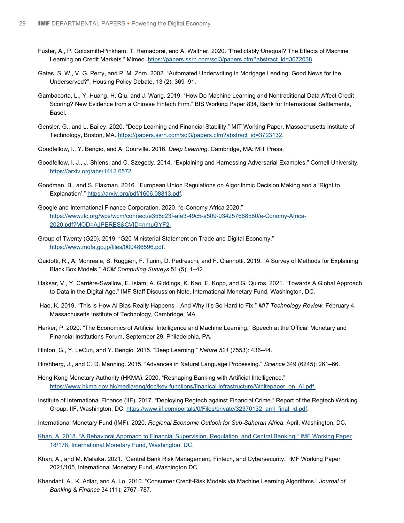- Fuster, A., P. Goldsmith-Pinkham, T. Ramadorai, and A. Walther. 2020. "Predictably Unequal? The Effects of Machine Learning on Credit Markets." Mimeo. [https://papers.ssrn.com/sol3/papers.cfm?abstract\\_id=3072038.](https://papers.ssrn.com/sol3/papers.cfm?abstract_id=3072038)
- Gates, S. W., V. G. Perry, and P. M. Zorn. 2002. "Automated Underwriting in Mortgage Lending: Good News for the Underserved?", Housing Policy Debate, 13 (2): 369–91.
- Gambacorta, L., Y. Huang, H. Qiu, and J. Wang. 2019. "How Do Machine Learning and Nontraditional Data Affect Credit Scoring? New Evidence from a Chinese Fintech Firm." BIS Working Paper 834, Bank for International Settlements, Basel.
- Gensler, G., and L. Bailey. 2020. "Deep Learning and Financial Stability." MIT Working Paper, Massachusetts Institute of Technology, Boston, MA[. https://papers.ssrn.com/sol3/papers.cfm?abstract\\_id=3723132.](https://papers.ssrn.com/sol3/papers.cfm?abstract_id=3723132)
- Goodfellow, I., Y. Bengio, and A. Courville. 2016. *Deep Learning*. Cambridge, MA: MIT Press.
- Goodfellow, I. J., J. Shlens, and C. Szegedy. 2014. "Explaining and Harnessing Adversarial Examples." Cornell University. [https://arxiv.org/abs/1412.6572.](https://arxiv.org/abs/1412.6572)
- Goodman, B., and S. Flaxman. 2016. "European Union Regulations on Algorithmic Decision Making and a 'Right to Explanation'." [https://arxiv.org/pdf/1606.08813.pdf.](https://arxiv.org/pdf/1606.08813.pdf)
- Google and International Finance Corporation. 2020. "e-Conomy Africa 2020." [https://www.ifc.org/wps/wcm/connect/e358c23f-afe3-49c5-a509-034257688580/e-Conomy-Africa-](https://www.ifc.org/wps/wcm/connect/e358c23f-afe3-49c5-a509-034257688580/e-Conomy-Africa-2020.pdf?MOD=AJPERES&CVID=nmuGYF2)[2020.pdf?MOD=AJPERES&CVID=nmuGYF2.](https://www.ifc.org/wps/wcm/connect/e358c23f-afe3-49c5-a509-034257688580/e-Conomy-Africa-2020.pdf?MOD=AJPERES&CVID=nmuGYF2)
- Group of Twenty (G20). 2019. "G20 Ministerial Statement on Trade and Digital Economy." [https://www.mofa.go.jp/files/000486596.pdf.](https://www.mofa.go.jp/files/000486596.pdf)
- Guidotti, R., A. Monreale, S. Ruggieri, F. Turini, D. Pedreschi, and F. Giannotti. 2019. "A Survey of Methods for Explaining Black Box Models." *ACM Computing Surveys* 51 (5): 1–42.
- Haksar, V., Y. Carrière-Swallow, E. Islam, A. Giddings, K. Kao, E. Kopp, and G. Quiros. 2021. "Towards A Global Approach to Data in the Digital Age." IMF Staff Discussion Note, International Monetary Fund, Washington, DC.
- Hao, K. 2019. "This is How AI Bias Really Happens—And Why It's So Hard to Fix." *MIT Technology Review*, February 4, Massachusetts Institute of Technology, Cambridge, MA.
- Harker, P. 2020. "The Economics of Artificial Intelligence and Machine Learning." Speech at the Official Monetary and Financial Institutions Forum, September 29, Philadelphia, PA.
- Hinton, G., Y. LeCun, and Y. Bengio. 2015. "Deep Learning." *Nature 521* (7553): 436–44.
- Hirshberg, J., and C. D. Manning. 2015. "Advances in Natural Language Processing." *Science* 349 (6245): 261–66.
- Hong Kong Monetary Authority (HKMA). 2020. "Reshaping Banking with Artificial Intelligence." [https://www.hkma.gov.hk/media/eng/doc/key-functions/finanical-infrastructure/Whitepaper\\_on\\_AI.pdf.](https://www.hkma.gov.hk/media/eng/doc/key-functions/finanical-infrastructure/Whitepaper_on_AI.pdf)
- Institute of International Finance (IIF). 2017. "Deploying Regtech against Financial Crime." Report of the Regtech Working Group, IIF, Washington, DC[. https://www.iif.com/portals/0/Files/private/32370132\\_aml\\_final\\_id.pdf.](https://www.iif.com/portals/0/Files/private/32370132_aml_final_id.pdf)
- International Monetary Fund (IMF). 2020. *Regional Economic Outlook for Sub-Saharan Africa*, April, Washington, DC.
- [Khan, A. 2018. "A Behavioral Approach to Financial Supervision, Regulation, and Central Banking.](https://www.imf.org/%7E/media/Files/Publications/WP/2018/wp18178.ashx)*"* IMF Working Paper [18/178, International Monetary Fund, Washington, DC.](https://www.imf.org/%7E/media/Files/Publications/WP/2018/wp18178.ashx)
- Khan, A., and M. Malaika. 2021*. "*Central Bank Risk Management, Fintech, and Cybersecurity." IMF Working Paper 2021/105, International Monetary Fund, Washington DC.
- Khandani, A., K. Adlar, and A. Lo. 2010. "Consumer Credit-Risk Models via Machine Learning Algorithms." *Journal of Banking & Finance* 34 (11): 2767–787.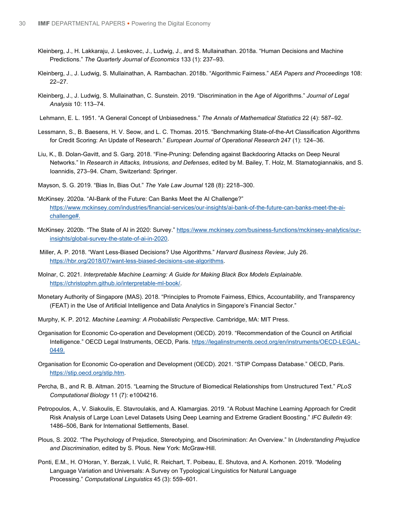- Kleinberg, J., H. Lakkaraju, J. Leskovec, J., Ludwig, J., and S. Mullainathan. 2018a. "Human Decisions and Machine Predictions." *The Quarterly Journal of Economics* 133 (1): 237–93.
- Kleinberg, J., J. Ludwig, S. Mullainathan, A. Rambachan. 2018b. "Algorithmic Fairness." *AEA Papers and Proceedings* 108: 22–27.
- Kleinberg, J., J. Ludwig, S. Mullainathan, C. Sunstein. 2019. "Discrimination in the Age of Algorithms." *Journal of Legal Analysis* 10: 113–74.
- Lehmann, E. L. 1951. "A General Concept of Unbiasedness." *The Annals of Mathematical Statistics* 22 (4): 587–92.
- Lessmann, S., B. Baesens, H. V. Seow, and L. C. Thomas. 2015. "Benchmarking State-of-the-Art Classification Algorithms for Credit Scoring: An Update of Research." *European Journal of Operational Research* 247 (1): 124–36.
- Liu, K., B. Dolan-Gavitt, and S. Garg. 2018. "Fine-Pruning: Defending against Backdooring Attacks on Deep Neural Networks." In *Research in Attacks, Intrusions, and Defenses*, edited by M. Bailey, T. Holz, M. Stamatogiannakis, and S. Ioannidis, 273–94. Cham, Switzerland: Springer.
- Mayson, S. G. 2019. "Bias In, Bias Out." *The Yale Law Journal* 128 (8): 2218–300.
- McKinsey. 2020a. "AI-Bank of the Future: Can Banks Meet the AI Challenge?" [https://www.mckinsey.com/industries/financial-services/our-insights/ai-bank-of-the-future-can-banks-meet-the-ai](https://nam10.safelinks.protection.outlook.com/?url=https%3A%2F%2Fwww.mckinsey.com%2Findustries%2Ffinancial-services%2Four-insights%2Fai-bank-of-the-future-can-banks-meet-the-ai-challenge%23&data=04%7C01%7CGSHABSIGH%40imf.org%7C40924c4b9b0f424369dd08d910b3f96a%7C8085fa43302e45bdb171a6648c3b6be7%7C0%7C0%7C637559187448332808%7CUnknown%7CTWFpbGZsb3d8eyJWIjoiMC4wLjAwMDAiLCJQIjoiV2luMzIiLCJBTiI6Ik1haWwiLCJXVCI6Mn0%3D%7C1000&sdata=WW1zcHRCoics0lgcnKy5OhtvnDekqbXLlyNawWXWCIU%3D&reserved=0)[challenge#.](https://nam10.safelinks.protection.outlook.com/?url=https%3A%2F%2Fwww.mckinsey.com%2Findustries%2Ffinancial-services%2Four-insights%2Fai-bank-of-the-future-can-banks-meet-the-ai-challenge%23&data=04%7C01%7CGSHABSIGH%40imf.org%7C40924c4b9b0f424369dd08d910b3f96a%7C8085fa43302e45bdb171a6648c3b6be7%7C0%7C0%7C637559187448332808%7CUnknown%7CTWFpbGZsb3d8eyJWIjoiMC4wLjAwMDAiLCJQIjoiV2luMzIiLCJBTiI6Ik1haWwiLCJXVCI6Mn0%3D%7C1000&sdata=WW1zcHRCoics0lgcnKy5OhtvnDekqbXLlyNawWXWCIU%3D&reserved=0)
- McKinsey. 2020b. "The State of AI in 2020: Survey.[" https://www.mckinsey.com/business-functions/mckinsey-analytics/our](https://www.mckinsey.com/business-functions/mckinsey-analytics/our-insights/global-survey-the-state-of-ai-in-2020)[insights/global-survey-the-state-of-ai-in-2020.](https://www.mckinsey.com/business-functions/mckinsey-analytics/our-insights/global-survey-the-state-of-ai-in-2020)
- Miller, A. P. 2018. "Want Less-Biased Decisions? Use Algorithms." *Harvard Business Review*, July 26. [https://hbr.org/2018/07/want-less-biased-decisions-use-algorithms.](https://hbr.org/2018/07/want-less-biased-decisions-use-algorithms)
- Molnar, C. 2021. *Interpretable Machine Learning: A Guide for Making Black Box Models Explainable.*  [https://christophm.github.io/interpretable-ml-book/.](https://christophm.github.io/interpretable-ml-book/)
- Monetary Authority of Singapore (MAS). 2018. "Principles to Promote Fairness, Ethics, Accountability, and Transparency (FEAT) in the Use of Artificial Intelligence and Data Analytics in Singapore's Financial Sector."
- Murphy, K. P. 2012. *Machine Learning: A Probabilistic Perspective*. Cambridge, MA: MIT Press.
- Organisation for Economic Co-operation and Development (OECD). 2019. "Recommendation of the Council on Artificial Intelligence." OECD Legal Instruments, OECD, Paris[. https://legalinstruments.oecd.org/en/instruments/OECD-LEGAL-](https://legalinstruments.oecd.org/en/instruments/OECD-LEGAL-0449)[0449.](https://legalinstruments.oecd.org/en/instruments/OECD-LEGAL-0449)
- Organisation for Economic Co-operation and Development (OECD). 2021. "STIP Compass Database." OECD, Paris. [https://stip.oecd.org/stip.htm.](https://stip.oecd.org/stip.htm)
- Percha, B., and R. B. Altman. 2015. "Learning the Structure of Biomedical Relationships from Unstructured Text." *PLoS Computational Biology* 11 (7): e1004216.
- Petropoulos, A., V. Siakoulis, E. Stavroulakis, and A. Klamargias. 2019. "A Robust Machine Learning Approach for Credit Risk Analysis of Large Loan Level Datasets Using Deep Learning and Extreme Gradient Boosting." *IFC Bulletin* 49: 1486–506, Bank for International Settlements, Basel.
- Plous, S. 2002. "The Psychology of Prejudice, Stereotyping, and Discrimination: An Overview." In *Understanding Prejudice and Discrimination*, edited by S. Plous. New York: McGraw-Hill.
- Ponti, E.M., H. O'Horan, Y. Berzak, I. Vulić, R. Reichart, T. Poibeau, E. Shutova, and A. Korhonen. 2019. "Modeling Language Variation and Universals: A Survey on Typological Linguistics for Natural Language Processing." *Computational Linguistics* 45 (3): 559–601.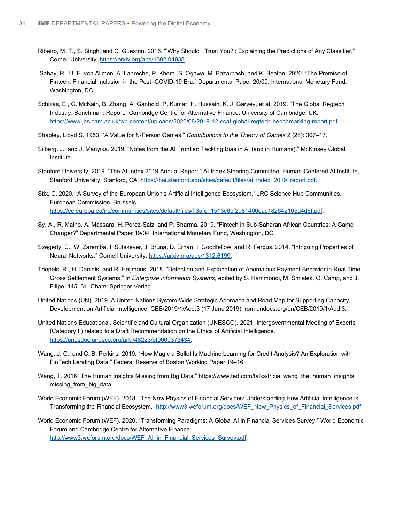- Ribeiro, M. T., S. Singh, and C. Guestrin. 2016. "'Why Should I Trust You?': Explaining the Predictions of Any Classifier." Cornell University. [https://arxiv.org/abs/1602.04938.](https://arxiv.org/abs/1602.04938)
- Sahay, R., U. E. von Allmen, A. Lahreche, P. Khera, S. Ogawa, M. Bazarbash, and K. Beaton. 2020. "The Promise of Fintech: Financial Inclusion in the Post–COVID-19 Era." Departmental Paper 20/09, International Monetary Fund, Washington, DC.
- Schizas, E., G. McKain, B. Zhang, A. Ganbold, P. Kumar, H. Hussain, K. J. Garvey, et al. 2019. "The Global Regtech Industry: Benchmark Report." Cambridge Centre for Alternative Finance. University of Cambridge, UK. [https://www.jbs.cam.ac.uk/wp-content/uploads/2020/08/2019-12-ccaf-global-regtech-benchmarking-report.pdf.](https://www.jbs.cam.ac.uk/wp-content/uploads/2020/08/2019-12-ccaf-global-regtech-benchmarking-report.pdf)
- Shapley, Lloyd S. 1953. "A Value for N-Person Games." *Contributions to the Theory of Games* 2 (28): 307–17.
- Silberg, J., and J. Manyika. 2019. "Notes from the AI Frontier: Tackling Bias in AI (and in Humans)." McKinsey Global Institute.
- Stanford University. 2019. "The AI Index 2019 Annual Report." AI Index Steering Committee, Human-Centered AI Institute, Stanford University, Stanford, CA. [https://hai.stanford.edu/sites/default/files/ai\\_index\\_2019\\_report.pdf.](https://hai.stanford.edu/sites/default/files/ai_index_2019_report.pdf)
- Stix, C. 2020. "A Survey of the European Union's Artificial Intelligence Ecosystem." JRC Science Hub Communities, European Commission, Brussels. [https://ec.europa.eu/jrc/communities/sites/default/files/ff3afe\\_1513c6bf2d81400eac182642105d4d6f.pdf.](https://ec.europa.eu/jrc/communities/sites/default/files/ff3afe_1513c6bf2d81400eac182642105d4d6f.pdf)
- Sy, A., R. Maino, A. Massara, H. Perez-Saiz, and P. Sharma. 2019. "Fintech in Sub-Saharan African Countries: A Game Changer?" Departmental Paper 19/04, International Monetary Fund, Washington, DC.
- Szegedy, C., W. Zaremba, I. Sutskever, J. Bruna, D. Erhan, I. Goodfellow, and R. Fergus. 2014. "Intriguing Properties of Neural Networks." Cornell University[. https://arxiv.org/abs/1312.6199.](https://arxiv.org/abs/1312.6199)
- Triepels, R., H. Daniels, and R. Heijmans. 2018. "Detection and Explanation of Anomalous Payment Behavior in Real Time Gross Settlement Systems." In *Enterprise Information Systems*, edited by S. Hammoudi, M. Śmiałek, O. Camp, and J. Filipe, 145–61. Cham: Springer Verlag.
- United Nations (UN). 2019. A United Nations System-Wide Strategic Approach and Road Map for Supporting Capacity Development on Artificial Intelligence, CEB/2019/1/Add.3 (17 June 2019). rom undocs.org/en/CEB/2019/1/Add.3.
- United Nations Educational, Scientific and Cultural Organization (UNESCO). 2021. Intergovernmental Meeting of Experts (Category II) related to a Draft Recommendation on the Ethics of Artificial Intelligence. [https://unesdoc.unesco.org/ark:/48223/pf0000373434.](https://unesdoc.unesco.org/ark:/48223/pf0000373434)
- Wang, J. C., and C. B. Perkins. 2019. "How Magic a Bullet Is Machine Learning for Credit Analysis? An Exploration with FinTech Lending Data." Federal Reserve of Boston Working Paper 19–16.
- Wang, T. 2016 "The Human Insights Missing from Big Data." https://www.ted.com/talks/tricia\_wang\_the\_human\_insights missing from big data.
- World Economic Forum (WEF). 2018. "The New Physics of Financial Services: Understanding How Artificial Intelligence is Transforming the Financial Ecosystem." http://www3.weforum.org/docs/WEF\_New\_Physics\_of\_Financial\_Services.pdf.
- World Economic Forum (WEF). 2020. "Transforming Paradigms: A Global AI in Financial Services Survey." World Economic Forum and Cambridge Centre for Alternative Finance. [http://www3.weforum.org/docs/WEF\\_AI\\_in\\_Financial\\_Services\\_Survey.pdf.](http://www3.weforum.org/docs/WEF_AI_in_Financial_Services_Survey.pdf)